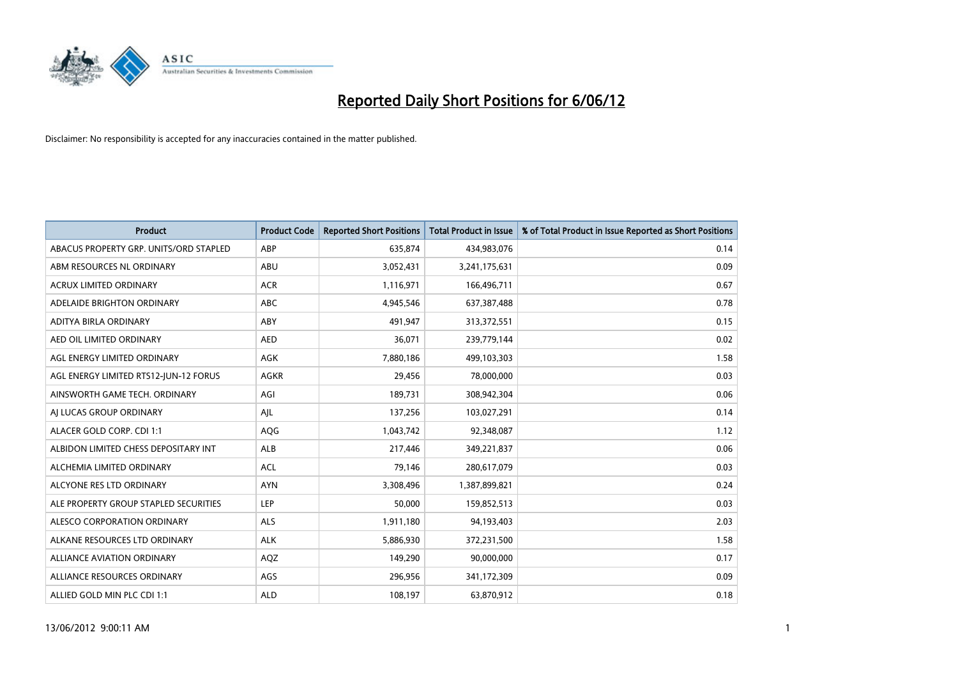

| <b>Product</b>                         | <b>Product Code</b> | <b>Reported Short Positions</b> | <b>Total Product in Issue</b> | % of Total Product in Issue Reported as Short Positions |
|----------------------------------------|---------------------|---------------------------------|-------------------------------|---------------------------------------------------------|
| ABACUS PROPERTY GRP. UNITS/ORD STAPLED | ABP                 | 635,874                         | 434,983,076                   | 0.14                                                    |
| ABM RESOURCES NL ORDINARY              | ABU                 | 3,052,431                       | 3,241,175,631                 | 0.09                                                    |
| <b>ACRUX LIMITED ORDINARY</b>          | <b>ACR</b>          | 1,116,971                       | 166,496,711                   | 0.67                                                    |
| ADELAIDE BRIGHTON ORDINARY             | <b>ABC</b>          | 4,945,546                       | 637,387,488                   | 0.78                                                    |
| ADITYA BIRLA ORDINARY                  | ABY                 | 491,947                         | 313,372,551                   | 0.15                                                    |
| AED OIL LIMITED ORDINARY               | <b>AED</b>          | 36,071                          | 239,779,144                   | 0.02                                                    |
| AGL ENERGY LIMITED ORDINARY            | AGK                 | 7,880,186                       | 499,103,303                   | 1.58                                                    |
| AGL ENERGY LIMITED RTS12-JUN-12 FORUS  | <b>AGKR</b>         | 29,456                          | 78,000,000                    | 0.03                                                    |
| AINSWORTH GAME TECH. ORDINARY          | AGI                 | 189,731                         | 308,942,304                   | 0.06                                                    |
| AI LUCAS GROUP ORDINARY                | AJL                 | 137,256                         | 103,027,291                   | 0.14                                                    |
| ALACER GOLD CORP. CDI 1:1              | AQG                 | 1,043,742                       | 92,348,087                    | 1.12                                                    |
| ALBIDON LIMITED CHESS DEPOSITARY INT   | ALB                 | 217,446                         | 349,221,837                   | 0.06                                                    |
| ALCHEMIA LIMITED ORDINARY              | <b>ACL</b>          | 79,146                          | 280,617,079                   | 0.03                                                    |
| ALCYONE RES LTD ORDINARY               | <b>AYN</b>          | 3,308,496                       | 1,387,899,821                 | 0.24                                                    |
| ALE PROPERTY GROUP STAPLED SECURITIES  | <b>LEP</b>          | 50,000                          | 159,852,513                   | 0.03                                                    |
| ALESCO CORPORATION ORDINARY            | ALS                 | 1,911,180                       | 94,193,403                    | 2.03                                                    |
| ALKANE RESOURCES LTD ORDINARY          | <b>ALK</b>          | 5,886,930                       | 372,231,500                   | 1.58                                                    |
| ALLIANCE AVIATION ORDINARY             | AQZ                 | 149,290                         | 90,000,000                    | 0.17                                                    |
| ALLIANCE RESOURCES ORDINARY            | AGS                 | 296,956                         | 341,172,309                   | 0.09                                                    |
| ALLIED GOLD MIN PLC CDI 1:1            | <b>ALD</b>          | 108,197                         | 63,870,912                    | 0.18                                                    |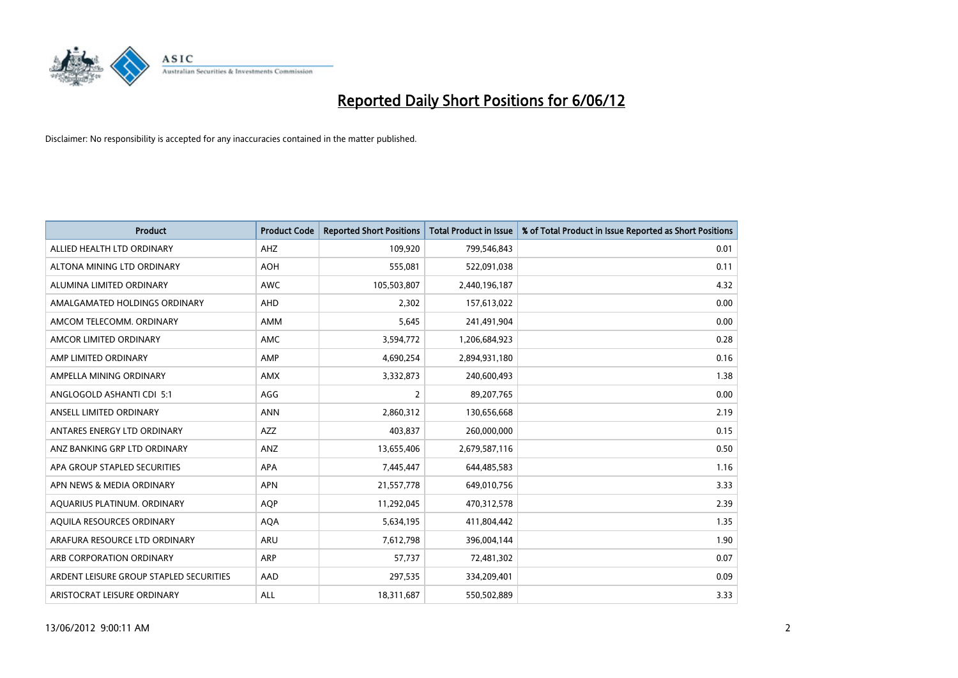

| <b>Product</b>                          | <b>Product Code</b> | <b>Reported Short Positions</b> | <b>Total Product in Issue</b> | % of Total Product in Issue Reported as Short Positions |
|-----------------------------------------|---------------------|---------------------------------|-------------------------------|---------------------------------------------------------|
| ALLIED HEALTH LTD ORDINARY              | AHZ                 | 109,920                         | 799,546,843                   | 0.01                                                    |
| ALTONA MINING LTD ORDINARY              | <b>AOH</b>          | 555,081                         | 522,091,038                   | 0.11                                                    |
| ALUMINA LIMITED ORDINARY                | <b>AWC</b>          | 105,503,807                     | 2,440,196,187                 | 4.32                                                    |
| AMALGAMATED HOLDINGS ORDINARY           | <b>AHD</b>          | 2,302                           | 157,613,022                   | 0.00                                                    |
| AMCOM TELECOMM, ORDINARY                | AMM                 | 5,645                           | 241,491,904                   | 0.00                                                    |
| AMCOR LIMITED ORDINARY                  | AMC                 | 3,594,772                       | 1,206,684,923                 | 0.28                                                    |
| AMP LIMITED ORDINARY                    | AMP                 | 4,690,254                       | 2,894,931,180                 | 0.16                                                    |
| AMPELLA MINING ORDINARY                 | <b>AMX</b>          | 3,332,873                       | 240,600,493                   | 1.38                                                    |
| ANGLOGOLD ASHANTI CDI 5:1               | AGG                 | 2                               | 89,207,765                    | 0.00                                                    |
| ANSELL LIMITED ORDINARY                 | <b>ANN</b>          | 2,860,312                       | 130,656,668                   | 2.19                                                    |
| ANTARES ENERGY LTD ORDINARY             | AZZ                 | 403,837                         | 260,000,000                   | 0.15                                                    |
| ANZ BANKING GRP LTD ORDINARY            | ANZ                 | 13,655,406                      | 2,679,587,116                 | 0.50                                                    |
| APA GROUP STAPLED SECURITIES            | APA                 | 7,445,447                       | 644,485,583                   | 1.16                                                    |
| APN NEWS & MEDIA ORDINARY               | <b>APN</b>          | 21,557,778                      | 649,010,756                   | 3.33                                                    |
| AQUARIUS PLATINUM. ORDINARY             | <b>AOP</b>          | 11,292,045                      | 470,312,578                   | 2.39                                                    |
| AQUILA RESOURCES ORDINARY               | <b>AQA</b>          | 5,634,195                       | 411,804,442                   | 1.35                                                    |
| ARAFURA RESOURCE LTD ORDINARY           | ARU                 | 7,612,798                       | 396,004,144                   | 1.90                                                    |
| ARB CORPORATION ORDINARY                | ARP                 | 57,737                          | 72,481,302                    | 0.07                                                    |
| ARDENT LEISURE GROUP STAPLED SECURITIES | AAD                 | 297,535                         | 334,209,401                   | 0.09                                                    |
| ARISTOCRAT LEISURE ORDINARY             | ALL                 | 18,311,687                      | 550,502,889                   | 3.33                                                    |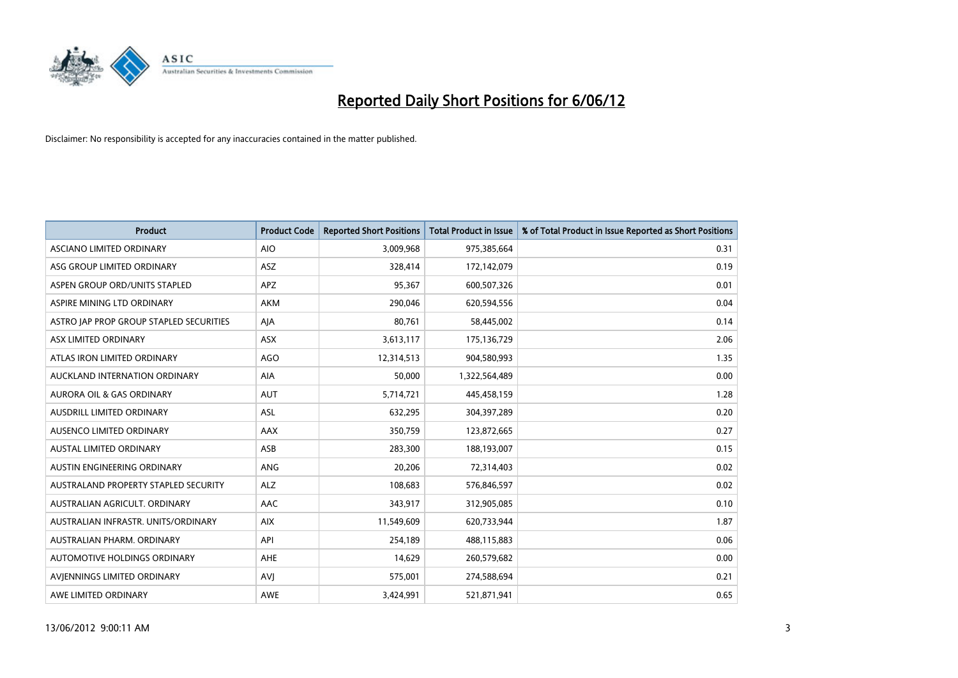

| <b>Product</b>                          | <b>Product Code</b> | <b>Reported Short Positions</b> | <b>Total Product in Issue</b> | % of Total Product in Issue Reported as Short Positions |
|-----------------------------------------|---------------------|---------------------------------|-------------------------------|---------------------------------------------------------|
| ASCIANO LIMITED ORDINARY                | <b>AIO</b>          | 3,009,968                       | 975,385,664                   | 0.31                                                    |
| ASG GROUP LIMITED ORDINARY              | ASZ                 | 328,414                         | 172,142,079                   | 0.19                                                    |
| ASPEN GROUP ORD/UNITS STAPLED           | <b>APZ</b>          | 95,367                          | 600,507,326                   | 0.01                                                    |
| ASPIRE MINING LTD ORDINARY              | <b>AKM</b>          | 290,046                         | 620,594,556                   | 0.04                                                    |
| ASTRO JAP PROP GROUP STAPLED SECURITIES | AJA                 | 80,761                          | 58,445,002                    | 0.14                                                    |
| ASX LIMITED ORDINARY                    | ASX                 | 3,613,117                       | 175,136,729                   | 2.06                                                    |
| ATLAS IRON LIMITED ORDINARY             | <b>AGO</b>          | 12,314,513                      | 904,580,993                   | 1.35                                                    |
| AUCKLAND INTERNATION ORDINARY           | <b>AIA</b>          | 50,000                          | 1,322,564,489                 | 0.00                                                    |
| <b>AURORA OIL &amp; GAS ORDINARY</b>    | <b>AUT</b>          | 5,714,721                       | 445,458,159                   | 1.28                                                    |
| AUSDRILL LIMITED ORDINARY               | ASL                 | 632,295                         | 304,397,289                   | 0.20                                                    |
| AUSENCO LIMITED ORDINARY                | AAX                 | 350,759                         | 123,872,665                   | 0.27                                                    |
| <b>AUSTAL LIMITED ORDINARY</b>          | ASB                 | 283,300                         | 188,193,007                   | 0.15                                                    |
| AUSTIN ENGINEERING ORDINARY             | ANG                 | 20,206                          | 72,314,403                    | 0.02                                                    |
| AUSTRALAND PROPERTY STAPLED SECURITY    | <b>ALZ</b>          | 108,683                         | 576,846,597                   | 0.02                                                    |
| AUSTRALIAN AGRICULT. ORDINARY           | AAC                 | 343,917                         | 312,905,085                   | 0.10                                                    |
| AUSTRALIAN INFRASTR. UNITS/ORDINARY     | <b>AIX</b>          | 11,549,609                      | 620,733,944                   | 1.87                                                    |
| AUSTRALIAN PHARM, ORDINARY              | API                 | 254,189                         | 488,115,883                   | 0.06                                                    |
| AUTOMOTIVE HOLDINGS ORDINARY            | AHE                 | 14,629                          | 260,579,682                   | 0.00                                                    |
| AVIENNINGS LIMITED ORDINARY             | <b>AVI</b>          | 575,001                         | 274,588,694                   | 0.21                                                    |
| AWE LIMITED ORDINARY                    | AWE                 | 3,424,991                       | 521,871,941                   | 0.65                                                    |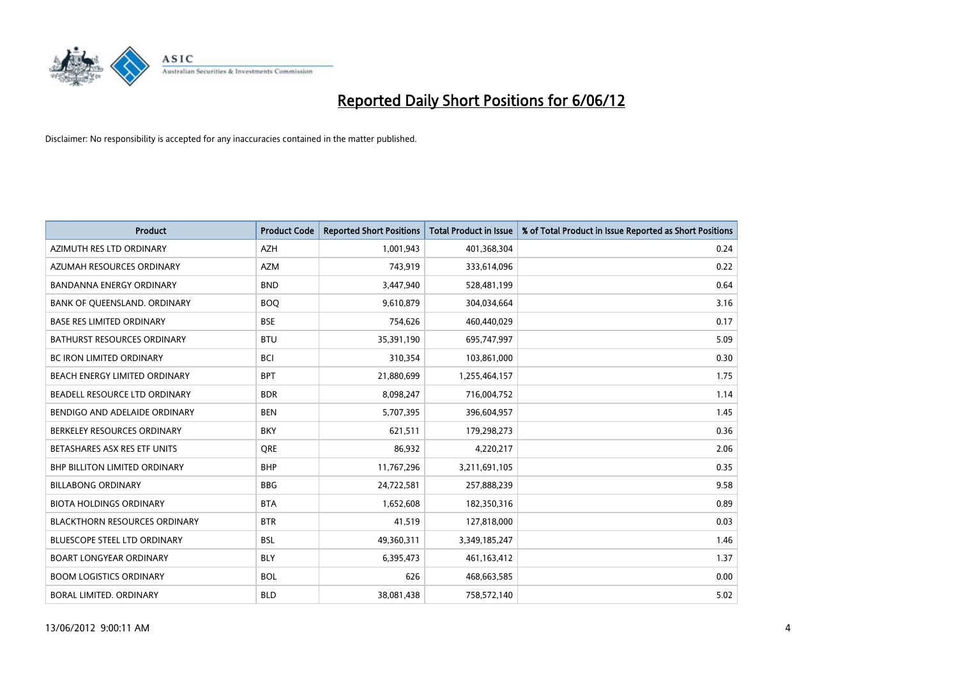

| <b>Product</b>                       | <b>Product Code</b> | <b>Reported Short Positions</b> | <b>Total Product in Issue</b> | % of Total Product in Issue Reported as Short Positions |
|--------------------------------------|---------------------|---------------------------------|-------------------------------|---------------------------------------------------------|
| AZIMUTH RES LTD ORDINARY             | <b>AZH</b>          | 1,001,943                       | 401,368,304                   | 0.24                                                    |
| AZUMAH RESOURCES ORDINARY            | <b>AZM</b>          | 743,919                         | 333,614,096                   | 0.22                                                    |
| <b>BANDANNA ENERGY ORDINARY</b>      | <b>BND</b>          | 3,447,940                       | 528,481,199                   | 0.64                                                    |
| BANK OF QUEENSLAND. ORDINARY         | <b>BOQ</b>          | 9,610,879                       | 304,034,664                   | 3.16                                                    |
| <b>BASE RES LIMITED ORDINARY</b>     | <b>BSE</b>          | 754,626                         | 460,440,029                   | 0.17                                                    |
| <b>BATHURST RESOURCES ORDINARY</b>   | <b>BTU</b>          | 35,391,190                      | 695,747,997                   | 5.09                                                    |
| <b>BC IRON LIMITED ORDINARY</b>      | <b>BCI</b>          | 310,354                         | 103,861,000                   | 0.30                                                    |
| BEACH ENERGY LIMITED ORDINARY        | <b>BPT</b>          | 21,880,699                      | 1,255,464,157                 | 1.75                                                    |
| BEADELL RESOURCE LTD ORDINARY        | <b>BDR</b>          | 8,098,247                       | 716,004,752                   | 1.14                                                    |
| BENDIGO AND ADELAIDE ORDINARY        | <b>BEN</b>          | 5,707,395                       | 396,604,957                   | 1.45                                                    |
| BERKELEY RESOURCES ORDINARY          | <b>BKY</b>          | 621,511                         | 179,298,273                   | 0.36                                                    |
| BETASHARES ASX RES ETF UNITS         | <b>ORE</b>          | 86,932                          | 4,220,217                     | 2.06                                                    |
| <b>BHP BILLITON LIMITED ORDINARY</b> | <b>BHP</b>          | 11,767,296                      | 3,211,691,105                 | 0.35                                                    |
| <b>BILLABONG ORDINARY</b>            | <b>BBG</b>          | 24,722,581                      | 257,888,239                   | 9.58                                                    |
| <b>BIOTA HOLDINGS ORDINARY</b>       | <b>BTA</b>          | 1,652,608                       | 182,350,316                   | 0.89                                                    |
| <b>BLACKTHORN RESOURCES ORDINARY</b> | <b>BTR</b>          | 41,519                          | 127,818,000                   | 0.03                                                    |
| BLUESCOPE STEEL LTD ORDINARY         | <b>BSL</b>          | 49,360,311                      | 3,349,185,247                 | 1.46                                                    |
| <b>BOART LONGYEAR ORDINARY</b>       | <b>BLY</b>          | 6,395,473                       | 461,163,412                   | 1.37                                                    |
| <b>BOOM LOGISTICS ORDINARY</b>       | <b>BOL</b>          | 626                             | 468,663,585                   | 0.00                                                    |
| BORAL LIMITED. ORDINARY              | <b>BLD</b>          | 38,081,438                      | 758,572,140                   | 5.02                                                    |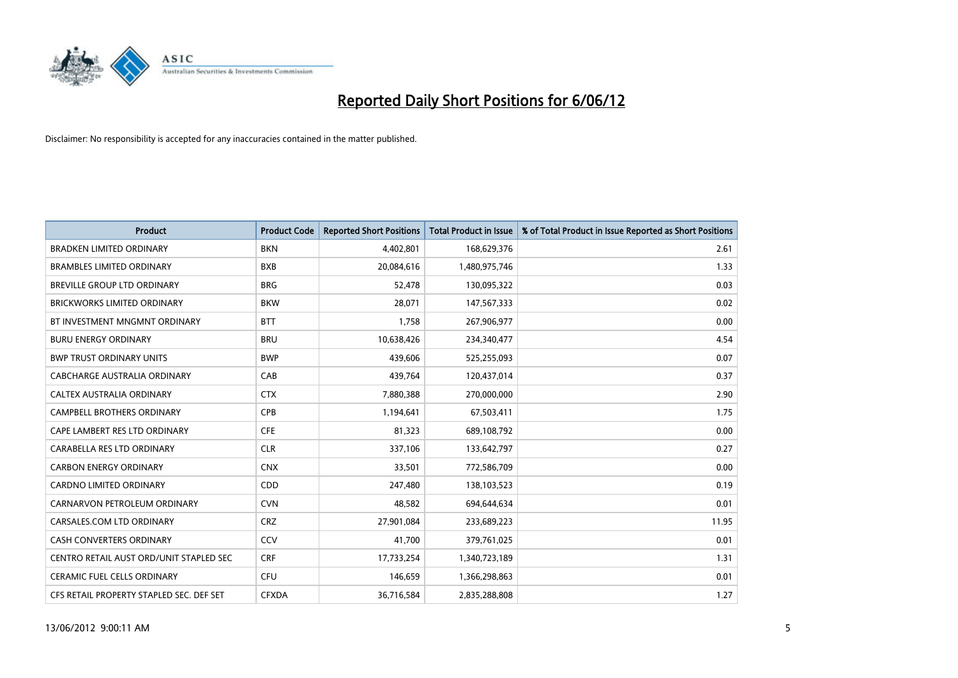

| <b>Product</b>                           | <b>Product Code</b> | <b>Reported Short Positions</b> | <b>Total Product in Issue</b> | % of Total Product in Issue Reported as Short Positions |
|------------------------------------------|---------------------|---------------------------------|-------------------------------|---------------------------------------------------------|
| <b>BRADKEN LIMITED ORDINARY</b>          | <b>BKN</b>          | 4,402,801                       | 168,629,376                   | 2.61                                                    |
| <b>BRAMBLES LIMITED ORDINARY</b>         | <b>BXB</b>          | 20,084,616                      | 1,480,975,746                 | 1.33                                                    |
| BREVILLE GROUP LTD ORDINARY              | <b>BRG</b>          | 52,478                          | 130,095,322                   | 0.03                                                    |
| BRICKWORKS LIMITED ORDINARY              | <b>BKW</b>          | 28,071                          | 147,567,333                   | 0.02                                                    |
| BT INVESTMENT MNGMNT ORDINARY            | <b>BTT</b>          | 1,758                           | 267,906,977                   | 0.00                                                    |
| <b>BURU ENERGY ORDINARY</b>              | <b>BRU</b>          | 10,638,426                      | 234,340,477                   | 4.54                                                    |
| <b>BWP TRUST ORDINARY UNITS</b>          | <b>BWP</b>          | 439,606                         | 525,255,093                   | 0.07                                                    |
| <b>CABCHARGE AUSTRALIA ORDINARY</b>      | CAB                 | 439,764                         | 120,437,014                   | 0.37                                                    |
| CALTEX AUSTRALIA ORDINARY                | <b>CTX</b>          | 7,880,388                       | 270,000,000                   | 2.90                                                    |
| CAMPBELL BROTHERS ORDINARY               | <b>CPB</b>          | 1,194,641                       | 67,503,411                    | 1.75                                                    |
| CAPE LAMBERT RES LTD ORDINARY            | <b>CFE</b>          | 81,323                          | 689,108,792                   | 0.00                                                    |
| CARABELLA RES LTD ORDINARY               | <b>CLR</b>          | 337,106                         | 133,642,797                   | 0.27                                                    |
| <b>CARBON ENERGY ORDINARY</b>            | <b>CNX</b>          | 33,501                          | 772,586,709                   | 0.00                                                    |
| <b>CARDNO LIMITED ORDINARY</b>           | CDD                 | 247,480                         | 138,103,523                   | 0.19                                                    |
| CARNARVON PETROLEUM ORDINARY             | <b>CVN</b>          | 48,582                          | 694,644,634                   | 0.01                                                    |
| CARSALES.COM LTD ORDINARY                | <b>CRZ</b>          | 27,901,084                      | 233,689,223                   | 11.95                                                   |
| <b>CASH CONVERTERS ORDINARY</b>          | CCV                 | 41,700                          | 379,761,025                   | 0.01                                                    |
| CENTRO RETAIL AUST ORD/UNIT STAPLED SEC  | <b>CRF</b>          | 17,733,254                      | 1,340,723,189                 | 1.31                                                    |
| <b>CERAMIC FUEL CELLS ORDINARY</b>       | <b>CFU</b>          | 146,659                         | 1,366,298,863                 | 0.01                                                    |
| CFS RETAIL PROPERTY STAPLED SEC. DEF SET | <b>CFXDA</b>        | 36,716,584                      | 2,835,288,808                 | 1.27                                                    |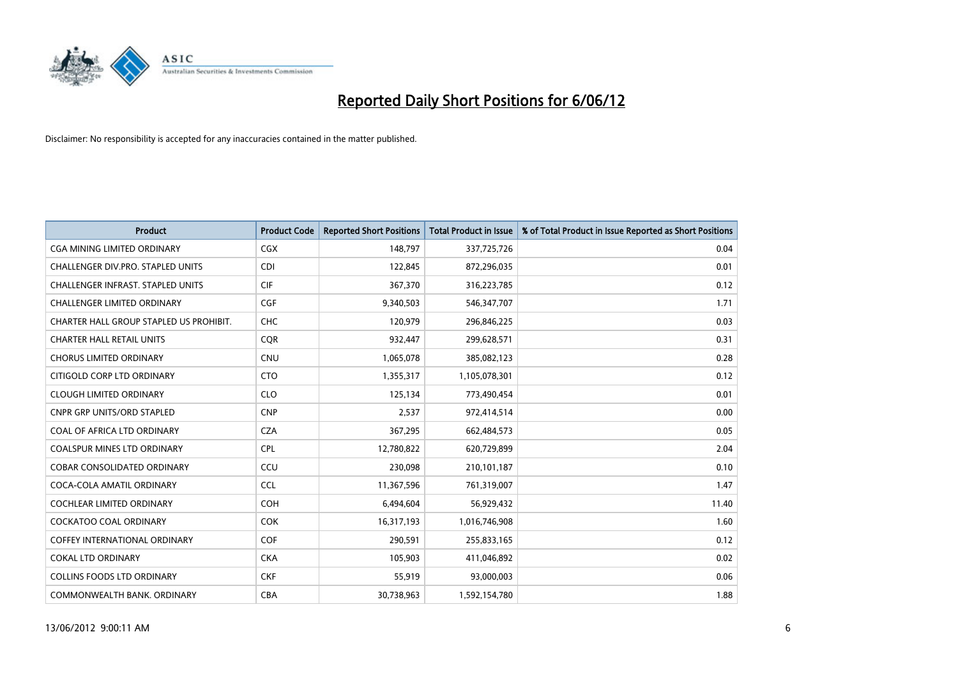

| <b>Product</b>                           | <b>Product Code</b> | <b>Reported Short Positions</b> | <b>Total Product in Issue</b> | % of Total Product in Issue Reported as Short Positions |
|------------------------------------------|---------------------|---------------------------------|-------------------------------|---------------------------------------------------------|
| <b>CGA MINING LIMITED ORDINARY</b>       | CGX                 | 148,797                         | 337,725,726                   | 0.04                                                    |
| CHALLENGER DIV.PRO. STAPLED UNITS        | <b>CDI</b>          | 122,845                         | 872,296,035                   | 0.01                                                    |
| <b>CHALLENGER INFRAST, STAPLED UNITS</b> | <b>CIF</b>          | 367,370                         | 316,223,785                   | 0.12                                                    |
| CHALLENGER LIMITED ORDINARY              | <b>CGF</b>          | 9,340,503                       | 546, 347, 707                 | 1.71                                                    |
| CHARTER HALL GROUP STAPLED US PROHIBIT.  | <b>CHC</b>          | 120,979                         | 296,846,225                   | 0.03                                                    |
| <b>CHARTER HALL RETAIL UNITS</b>         | <b>CQR</b>          | 932,447                         | 299,628,571                   | 0.31                                                    |
| <b>CHORUS LIMITED ORDINARY</b>           | CNU                 | 1,065,078                       | 385,082,123                   | 0.28                                                    |
| CITIGOLD CORP LTD ORDINARY               | <b>CTO</b>          | 1,355,317                       | 1,105,078,301                 | 0.12                                                    |
| <b>CLOUGH LIMITED ORDINARY</b>           | <b>CLO</b>          | 125,134                         | 773,490,454                   | 0.01                                                    |
| <b>CNPR GRP UNITS/ORD STAPLED</b>        | <b>CNP</b>          | 2,537                           | 972,414,514                   | 0.00                                                    |
| COAL OF AFRICA LTD ORDINARY              | <b>CZA</b>          | 367,295                         | 662,484,573                   | 0.05                                                    |
| <b>COALSPUR MINES LTD ORDINARY</b>       | <b>CPL</b>          | 12,780,822                      | 620,729,899                   | 2.04                                                    |
| <b>COBAR CONSOLIDATED ORDINARY</b>       | CCU                 | 230,098                         | 210,101,187                   | 0.10                                                    |
| COCA-COLA AMATIL ORDINARY                | <b>CCL</b>          | 11,367,596                      | 761,319,007                   | 1.47                                                    |
| COCHLEAR LIMITED ORDINARY                | <b>COH</b>          | 6,494,604                       | 56,929,432                    | 11.40                                                   |
| <b>COCKATOO COAL ORDINARY</b>            | <b>COK</b>          | 16,317,193                      | 1,016,746,908                 | 1.60                                                    |
| <b>COFFEY INTERNATIONAL ORDINARY</b>     | <b>COF</b>          | 290,591                         | 255,833,165                   | 0.12                                                    |
| <b>COKAL LTD ORDINARY</b>                | <b>CKA</b>          | 105,903                         | 411,046,892                   | 0.02                                                    |
| <b>COLLINS FOODS LTD ORDINARY</b>        | <b>CKF</b>          | 55,919                          | 93,000,003                    | 0.06                                                    |
| COMMONWEALTH BANK, ORDINARY              | <b>CBA</b>          | 30,738,963                      | 1,592,154,780                 | 1.88                                                    |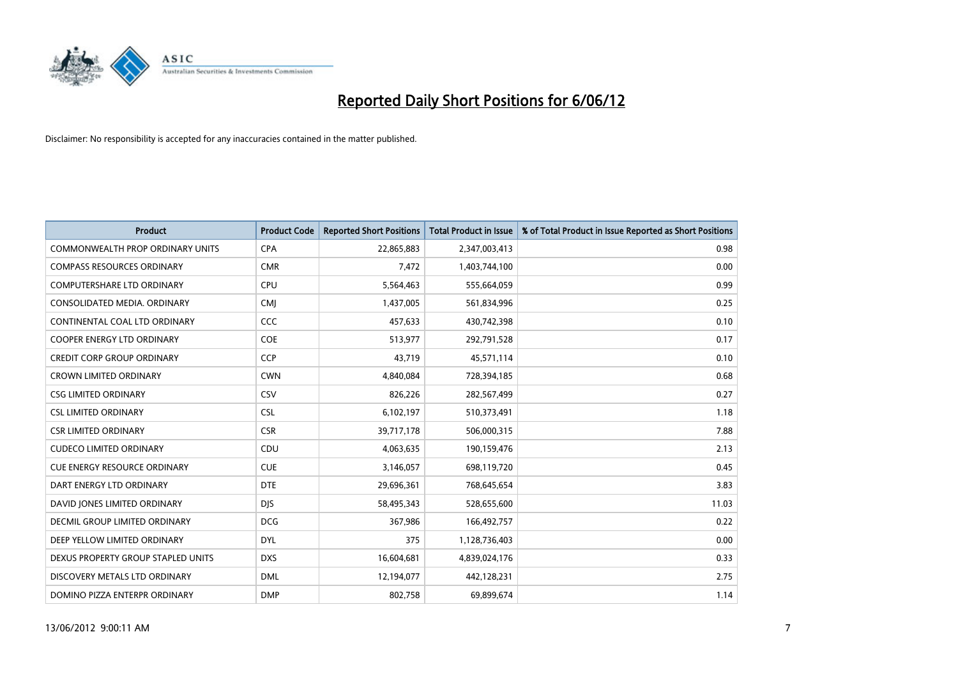

| <b>Product</b>                          | <b>Product Code</b> | <b>Reported Short Positions</b> | <b>Total Product in Issue</b> | % of Total Product in Issue Reported as Short Positions |
|-----------------------------------------|---------------------|---------------------------------|-------------------------------|---------------------------------------------------------|
| <b>COMMONWEALTH PROP ORDINARY UNITS</b> | <b>CPA</b>          | 22,865,883                      | 2,347,003,413                 | 0.98                                                    |
| <b>COMPASS RESOURCES ORDINARY</b>       | <b>CMR</b>          | 7,472                           | 1,403,744,100                 | 0.00                                                    |
| <b>COMPUTERSHARE LTD ORDINARY</b>       | <b>CPU</b>          | 5,564,463                       | 555,664,059                   | 0.99                                                    |
| CONSOLIDATED MEDIA, ORDINARY            | <b>CMI</b>          | 1,437,005                       | 561,834,996                   | 0.25                                                    |
| CONTINENTAL COAL LTD ORDINARY           | CCC                 | 457,633                         | 430,742,398                   | 0.10                                                    |
| <b>COOPER ENERGY LTD ORDINARY</b>       | <b>COE</b>          | 513,977                         | 292,791,528                   | 0.17                                                    |
| <b>CREDIT CORP GROUP ORDINARY</b>       | <b>CCP</b>          | 43,719                          | 45,571,114                    | 0.10                                                    |
| <b>CROWN LIMITED ORDINARY</b>           | <b>CWN</b>          | 4,840,084                       | 728,394,185                   | 0.68                                                    |
| <b>CSG LIMITED ORDINARY</b>             | CSV                 | 826,226                         | 282,567,499                   | 0.27                                                    |
| <b>CSL LIMITED ORDINARY</b>             | <b>CSL</b>          | 6,102,197                       | 510,373,491                   | 1.18                                                    |
| <b>CSR LIMITED ORDINARY</b>             | <b>CSR</b>          | 39,717,178                      | 506,000,315                   | 7.88                                                    |
| <b>CUDECO LIMITED ORDINARY</b>          | CDU                 | 4,063,635                       | 190,159,476                   | 2.13                                                    |
| CUE ENERGY RESOURCE ORDINARY            | <b>CUE</b>          | 3,146,057                       | 698,119,720                   | 0.45                                                    |
| DART ENERGY LTD ORDINARY                | <b>DTE</b>          | 29,696,361                      | 768,645,654                   | 3.83                                                    |
| DAVID JONES LIMITED ORDINARY            | <b>DJS</b>          | 58,495,343                      | 528,655,600                   | 11.03                                                   |
| <b>DECMIL GROUP LIMITED ORDINARY</b>    | <b>DCG</b>          | 367,986                         | 166,492,757                   | 0.22                                                    |
| DEEP YELLOW LIMITED ORDINARY            | <b>DYL</b>          | 375                             | 1,128,736,403                 | 0.00                                                    |
| DEXUS PROPERTY GROUP STAPLED UNITS      | <b>DXS</b>          | 16,604,681                      | 4,839,024,176                 | 0.33                                                    |
| DISCOVERY METALS LTD ORDINARY           | <b>DML</b>          | 12,194,077                      | 442,128,231                   | 2.75                                                    |
| DOMINO PIZZA ENTERPR ORDINARY           | <b>DMP</b>          | 802,758                         | 69,899,674                    | 1.14                                                    |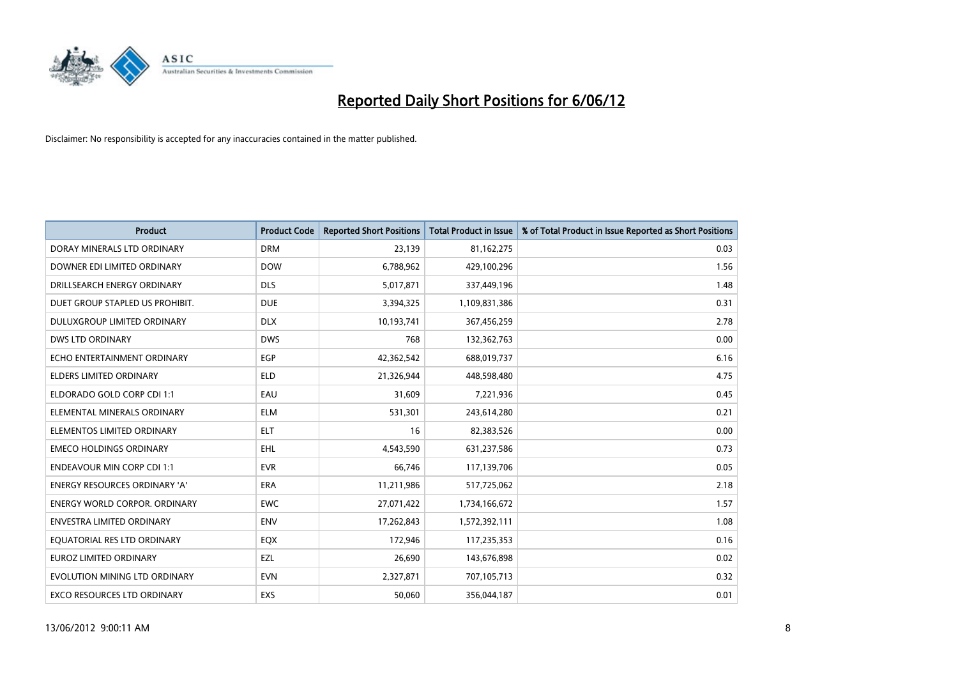

| <b>Product</b>                       | <b>Product Code</b> | <b>Reported Short Positions</b> | <b>Total Product in Issue</b> | % of Total Product in Issue Reported as Short Positions |
|--------------------------------------|---------------------|---------------------------------|-------------------------------|---------------------------------------------------------|
| DORAY MINERALS LTD ORDINARY          | <b>DRM</b>          | 23,139                          | 81,162,275                    | 0.03                                                    |
| DOWNER EDI LIMITED ORDINARY          | <b>DOW</b>          | 6,788,962                       | 429,100,296                   | 1.56                                                    |
| DRILLSEARCH ENERGY ORDINARY          | <b>DLS</b>          | 5,017,871                       | 337,449,196                   | 1.48                                                    |
| DUET GROUP STAPLED US PROHIBIT.      | <b>DUE</b>          | 3,394,325                       | 1,109,831,386                 | 0.31                                                    |
| DULUXGROUP LIMITED ORDINARY          | <b>DLX</b>          | 10,193,741                      | 367,456,259                   | 2.78                                                    |
| <b>DWS LTD ORDINARY</b>              | <b>DWS</b>          | 768                             | 132,362,763                   | 0.00                                                    |
| ECHO ENTERTAINMENT ORDINARY          | <b>EGP</b>          | 42,362,542                      | 688,019,737                   | 6.16                                                    |
| ELDERS LIMITED ORDINARY              | <b>ELD</b>          | 21,326,944                      | 448,598,480                   | 4.75                                                    |
| ELDORADO GOLD CORP CDI 1:1           | EAU                 | 31,609                          | 7,221,936                     | 0.45                                                    |
| ELEMENTAL MINERALS ORDINARY          | <b>ELM</b>          | 531,301                         | 243,614,280                   | 0.21                                                    |
| ELEMENTOS LIMITED ORDINARY           | <b>ELT</b>          | 16                              | 82,383,526                    | 0.00                                                    |
| <b>EMECO HOLDINGS ORDINARY</b>       | EHL                 | 4,543,590                       | 631,237,586                   | 0.73                                                    |
| <b>ENDEAVOUR MIN CORP CDI 1:1</b>    | <b>EVR</b>          | 66,746                          | 117,139,706                   | 0.05                                                    |
| <b>ENERGY RESOURCES ORDINARY 'A'</b> | ERA                 | 11,211,986                      | 517,725,062                   | 2.18                                                    |
| <b>ENERGY WORLD CORPOR, ORDINARY</b> | <b>EWC</b>          | 27,071,422                      | 1,734,166,672                 | 1.57                                                    |
| ENVESTRA LIMITED ORDINARY            | ENV                 | 17,262,843                      | 1,572,392,111                 | 1.08                                                    |
| EQUATORIAL RES LTD ORDINARY          | EQX                 | 172,946                         | 117,235,353                   | 0.16                                                    |
| <b>EUROZ LIMITED ORDINARY</b>        | EZL                 | 26,690                          | 143,676,898                   | 0.02                                                    |
| EVOLUTION MINING LTD ORDINARY        | <b>EVN</b>          | 2,327,871                       | 707,105,713                   | 0.32                                                    |
| EXCO RESOURCES LTD ORDINARY          | EXS                 | 50,060                          | 356,044,187                   | 0.01                                                    |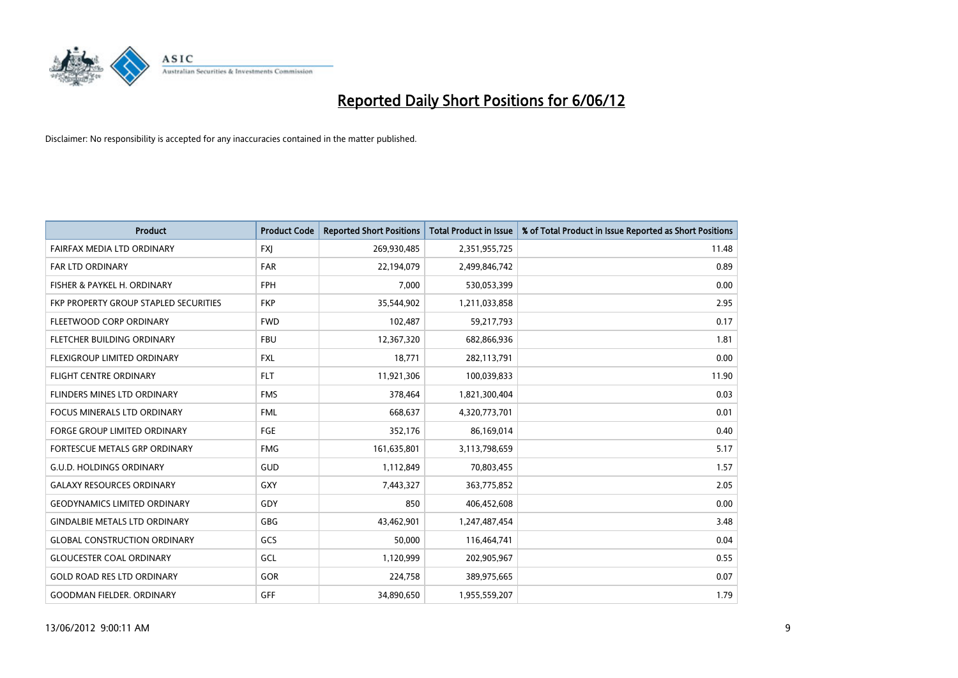

| <b>Product</b>                        | <b>Product Code</b> | <b>Reported Short Positions</b> | <b>Total Product in Issue</b> | % of Total Product in Issue Reported as Short Positions |
|---------------------------------------|---------------------|---------------------------------|-------------------------------|---------------------------------------------------------|
| FAIRFAX MEDIA LTD ORDINARY            | <b>FXJ</b>          | 269,930,485                     | 2,351,955,725                 | 11.48                                                   |
| FAR LTD ORDINARY                      | <b>FAR</b>          | 22,194,079                      | 2,499,846,742                 | 0.89                                                    |
| FISHER & PAYKEL H. ORDINARY           | <b>FPH</b>          | 7,000                           | 530,053,399                   | 0.00                                                    |
| FKP PROPERTY GROUP STAPLED SECURITIES | <b>FKP</b>          | 35,544,902                      | 1,211,033,858                 | 2.95                                                    |
| FLEETWOOD CORP ORDINARY               | <b>FWD</b>          | 102,487                         | 59,217,793                    | 0.17                                                    |
| FLETCHER BUILDING ORDINARY            | <b>FBU</b>          | 12,367,320                      | 682,866,936                   | 1.81                                                    |
| FLEXIGROUP LIMITED ORDINARY           | FXL                 | 18,771                          | 282,113,791                   | 0.00                                                    |
| <b>FLIGHT CENTRE ORDINARY</b>         | <b>FLT</b>          | 11,921,306                      | 100,039,833                   | 11.90                                                   |
| FLINDERS MINES LTD ORDINARY           | <b>FMS</b>          | 378,464                         | 1,821,300,404                 | 0.03                                                    |
| <b>FOCUS MINERALS LTD ORDINARY</b>    | <b>FML</b>          | 668,637                         | 4,320,773,701                 | 0.01                                                    |
| <b>FORGE GROUP LIMITED ORDINARY</b>   | FGE                 | 352,176                         | 86,169,014                    | 0.40                                                    |
| <b>FORTESCUE METALS GRP ORDINARY</b>  | <b>FMG</b>          | 161,635,801                     | 3,113,798,659                 | 5.17                                                    |
| <b>G.U.D. HOLDINGS ORDINARY</b>       | GUD                 | 1,112,849                       | 70,803,455                    | 1.57                                                    |
| <b>GALAXY RESOURCES ORDINARY</b>      | GXY                 | 7,443,327                       | 363,775,852                   | 2.05                                                    |
| <b>GEODYNAMICS LIMITED ORDINARY</b>   | GDY                 | 850                             | 406,452,608                   | 0.00                                                    |
| <b>GINDALBIE METALS LTD ORDINARY</b>  | GBG                 | 43,462,901                      | 1,247,487,454                 | 3.48                                                    |
| <b>GLOBAL CONSTRUCTION ORDINARY</b>   | GCS                 | 50,000                          | 116,464,741                   | 0.04                                                    |
| <b>GLOUCESTER COAL ORDINARY</b>       | GCL                 | 1,120,999                       | 202,905,967                   | 0.55                                                    |
| <b>GOLD ROAD RES LTD ORDINARY</b>     | GOR                 | 224,758                         | 389,975,665                   | 0.07                                                    |
| <b>GOODMAN FIELDER. ORDINARY</b>      | GFF                 | 34,890,650                      | 1,955,559,207                 | 1.79                                                    |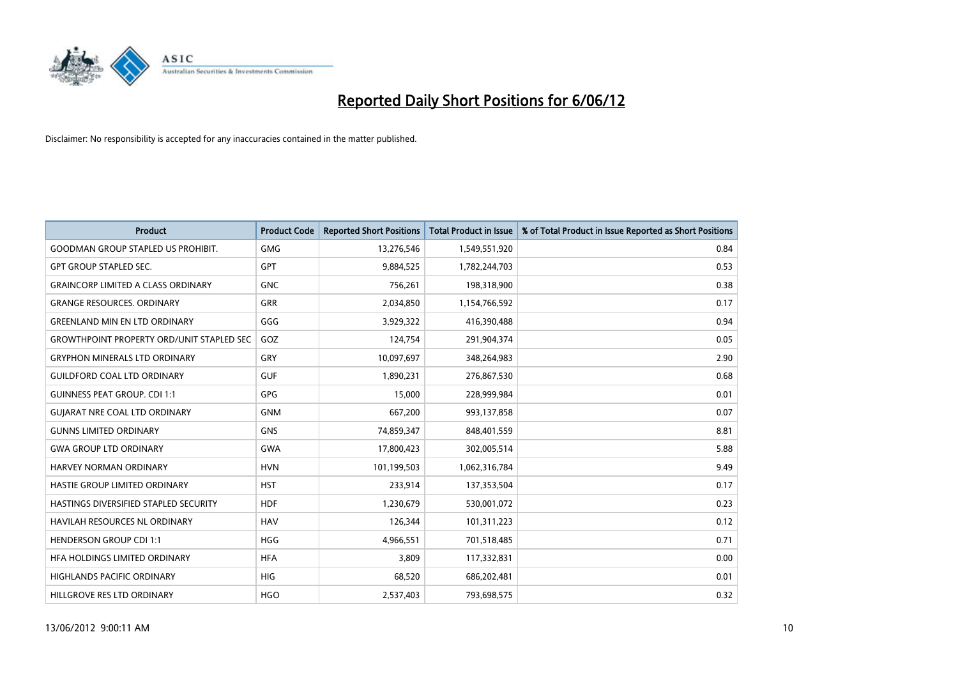

| <b>Product</b>                                   | <b>Product Code</b> | <b>Reported Short Positions</b> | <b>Total Product in Issue</b> | % of Total Product in Issue Reported as Short Positions |
|--------------------------------------------------|---------------------|---------------------------------|-------------------------------|---------------------------------------------------------|
| <b>GOODMAN GROUP STAPLED US PROHIBIT.</b>        | <b>GMG</b>          | 13,276,546                      | 1,549,551,920                 | 0.84                                                    |
| <b>GPT GROUP STAPLED SEC.</b>                    | GPT                 | 9,884,525                       | 1,782,244,703                 | 0.53                                                    |
| <b>GRAINCORP LIMITED A CLASS ORDINARY</b>        | <b>GNC</b>          | 756,261                         | 198,318,900                   | 0.38                                                    |
| <b>GRANGE RESOURCES. ORDINARY</b>                | <b>GRR</b>          | 2,034,850                       | 1,154,766,592                 | 0.17                                                    |
| <b>GREENLAND MIN EN LTD ORDINARY</b>             | GGG                 | 3,929,322                       | 416,390,488                   | 0.94                                                    |
| <b>GROWTHPOINT PROPERTY ORD/UNIT STAPLED SEC</b> | GOZ                 | 124,754                         | 291,904,374                   | 0.05                                                    |
| <b>GRYPHON MINERALS LTD ORDINARY</b>             | <b>GRY</b>          | 10,097,697                      | 348,264,983                   | 2.90                                                    |
| <b>GUILDFORD COAL LTD ORDINARY</b>               | <b>GUF</b>          | 1,890,231                       | 276,867,530                   | 0.68                                                    |
| <b>GUINNESS PEAT GROUP. CDI 1:1</b>              | <b>GPG</b>          | 15,000                          | 228,999,984                   | 0.01                                                    |
| <b>GUIARAT NRE COAL LTD ORDINARY</b>             | <b>GNM</b>          | 667,200                         | 993,137,858                   | 0.07                                                    |
| <b>GUNNS LIMITED ORDINARY</b>                    | <b>GNS</b>          | 74,859,347                      | 848,401,559                   | 8.81                                                    |
| <b>GWA GROUP LTD ORDINARY</b>                    | <b>GWA</b>          | 17,800,423                      | 302,005,514                   | 5.88                                                    |
| HARVEY NORMAN ORDINARY                           | <b>HVN</b>          | 101,199,503                     | 1,062,316,784                 | 9.49                                                    |
| HASTIE GROUP LIMITED ORDINARY                    | <b>HST</b>          | 233,914                         | 137,353,504                   | 0.17                                                    |
| HASTINGS DIVERSIFIED STAPLED SECURITY            | <b>HDF</b>          | 1,230,679                       | 530,001,072                   | 0.23                                                    |
| HAVILAH RESOURCES NL ORDINARY                    | <b>HAV</b>          | 126,344                         | 101,311,223                   | 0.12                                                    |
| <b>HENDERSON GROUP CDI 1:1</b>                   | <b>HGG</b>          | 4,966,551                       | 701,518,485                   | 0.71                                                    |
| HFA HOLDINGS LIMITED ORDINARY                    | <b>HFA</b>          | 3,809                           | 117,332,831                   | 0.00                                                    |
| <b>HIGHLANDS PACIFIC ORDINARY</b>                | <b>HIG</b>          | 68,520                          | 686,202,481                   | 0.01                                                    |
| HILLGROVE RES LTD ORDINARY                       | <b>HGO</b>          | 2,537,403                       | 793,698,575                   | 0.32                                                    |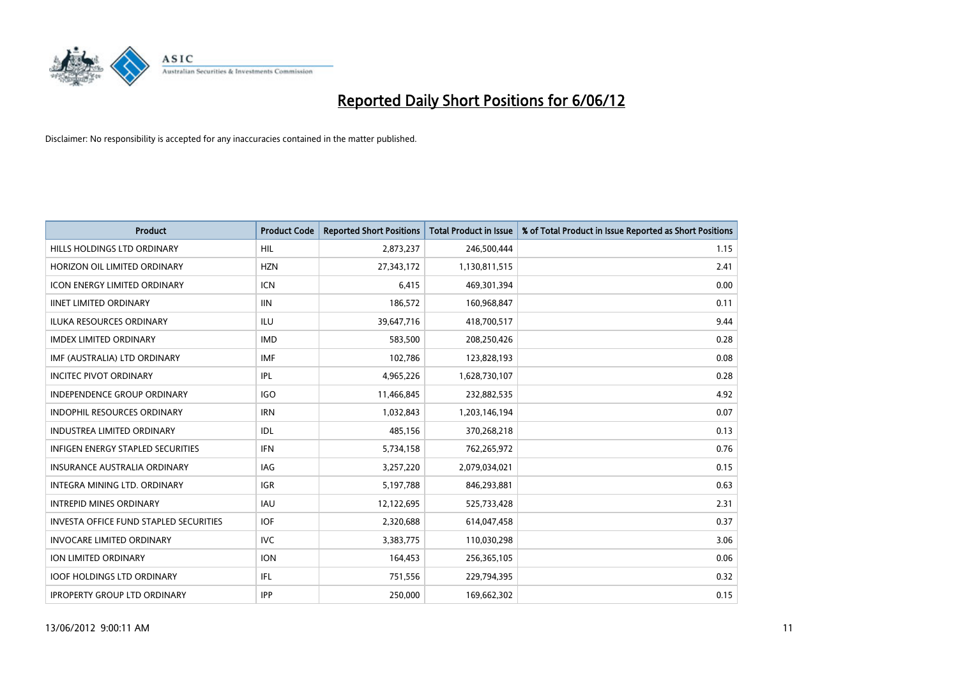

| <b>Product</b>                                | <b>Product Code</b> | <b>Reported Short Positions</b> | <b>Total Product in Issue</b> | % of Total Product in Issue Reported as Short Positions |
|-----------------------------------------------|---------------------|---------------------------------|-------------------------------|---------------------------------------------------------|
| <b>HILLS HOLDINGS LTD ORDINARY</b>            | HIL                 | 2,873,237                       | 246,500,444                   | 1.15                                                    |
| HORIZON OIL LIMITED ORDINARY                  | <b>HZN</b>          | 27,343,172                      | 1,130,811,515                 | 2.41                                                    |
| <b>ICON ENERGY LIMITED ORDINARY</b>           | <b>ICN</b>          | 6,415                           | 469,301,394                   | 0.00                                                    |
| <b>IINET LIMITED ORDINARY</b>                 | <b>IIN</b>          | 186,572                         | 160,968,847                   | 0.11                                                    |
| <b>ILUKA RESOURCES ORDINARY</b>               | <b>ILU</b>          | 39,647,716                      | 418,700,517                   | 9.44                                                    |
| <b>IMDEX LIMITED ORDINARY</b>                 | <b>IMD</b>          | 583,500                         | 208,250,426                   | 0.28                                                    |
| IMF (AUSTRALIA) LTD ORDINARY                  | <b>IMF</b>          | 102,786                         | 123,828,193                   | 0.08                                                    |
| <b>INCITEC PIVOT ORDINARY</b>                 | IPL                 | 4,965,226                       | 1,628,730,107                 | 0.28                                                    |
| INDEPENDENCE GROUP ORDINARY                   | <b>IGO</b>          | 11,466,845                      | 232,882,535                   | 4.92                                                    |
| <b>INDOPHIL RESOURCES ORDINARY</b>            | <b>IRN</b>          | 1,032,843                       | 1,203,146,194                 | 0.07                                                    |
| <b>INDUSTREA LIMITED ORDINARY</b>             | <b>IDL</b>          | 485,156                         | 370,268,218                   | 0.13                                                    |
| <b>INFIGEN ENERGY STAPLED SECURITIES</b>      | IFN                 | 5,734,158                       | 762,265,972                   | 0.76                                                    |
| <b>INSURANCE AUSTRALIA ORDINARY</b>           | IAG                 | 3,257,220                       | 2,079,034,021                 | 0.15                                                    |
| INTEGRA MINING LTD, ORDINARY                  | <b>IGR</b>          | 5,197,788                       | 846,293,881                   | 0.63                                                    |
| <b>INTREPID MINES ORDINARY</b>                | <b>IAU</b>          | 12,122,695                      | 525,733,428                   | 2.31                                                    |
| <b>INVESTA OFFICE FUND STAPLED SECURITIES</b> | <b>IOF</b>          | 2,320,688                       | 614,047,458                   | 0.37                                                    |
| <b>INVOCARE LIMITED ORDINARY</b>              | <b>IVC</b>          | 3,383,775                       | 110,030,298                   | 3.06                                                    |
| ION LIMITED ORDINARY                          | <b>ION</b>          | 164,453                         | 256,365,105                   | 0.06                                                    |
| <b>IOOF HOLDINGS LTD ORDINARY</b>             | IFL                 | 751,556                         | 229,794,395                   | 0.32                                                    |
| <b>IPROPERTY GROUP LTD ORDINARY</b>           | <b>IPP</b>          | 250,000                         | 169,662,302                   | 0.15                                                    |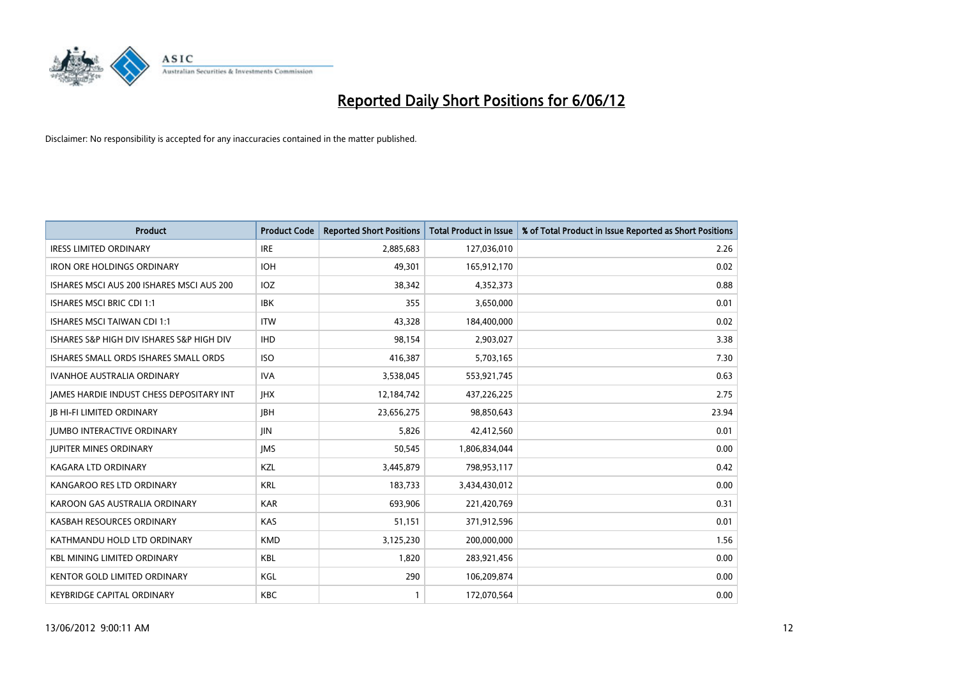

| <b>Product</b>                            | <b>Product Code</b> | <b>Reported Short Positions</b> | <b>Total Product in Issue</b> | % of Total Product in Issue Reported as Short Positions |
|-------------------------------------------|---------------------|---------------------------------|-------------------------------|---------------------------------------------------------|
| <b>IRESS LIMITED ORDINARY</b>             | <b>IRE</b>          | 2,885,683                       | 127,036,010                   | 2.26                                                    |
| <b>IRON ORE HOLDINGS ORDINARY</b>         | <b>IOH</b>          | 49,301                          | 165,912,170                   | 0.02                                                    |
| ISHARES MSCI AUS 200 ISHARES MSCI AUS 200 | <b>IOZ</b>          | 38,342                          | 4,352,373                     | 0.88                                                    |
| <b>ISHARES MSCI BRIC CDI 1:1</b>          | <b>IBK</b>          | 355                             | 3,650,000                     | 0.01                                                    |
| <b>ISHARES MSCI TAIWAN CDI 1:1</b>        | <b>ITW</b>          | 43,328                          | 184,400,000                   | 0.02                                                    |
| ISHARES S&P HIGH DIV ISHARES S&P HIGH DIV | <b>IHD</b>          | 98,154                          | 2,903,027                     | 3.38                                                    |
| ISHARES SMALL ORDS ISHARES SMALL ORDS     | <b>ISO</b>          | 416,387                         | 5,703,165                     | 7.30                                                    |
| <b>IVANHOE AUSTRALIA ORDINARY</b>         | <b>IVA</b>          | 3,538,045                       | 553,921,745                   | 0.63                                                    |
| JAMES HARDIE INDUST CHESS DEPOSITARY INT  | <b>IHX</b>          | 12,184,742                      | 437,226,225                   | 2.75                                                    |
| <b>JB HI-FI LIMITED ORDINARY</b>          | <b>JBH</b>          | 23,656,275                      | 98,850,643                    | 23.94                                                   |
| <b>JUMBO INTERACTIVE ORDINARY</b>         | JIN.                | 5,826                           | 42,412,560                    | 0.01                                                    |
| <b>JUPITER MINES ORDINARY</b>             | <b>IMS</b>          | 50,545                          | 1,806,834,044                 | 0.00                                                    |
| <b>KAGARA LTD ORDINARY</b>                | KZL                 | 3,445,879                       | 798,953,117                   | 0.42                                                    |
| KANGAROO RES LTD ORDINARY                 | <b>KRL</b>          | 183,733                         | 3,434,430,012                 | 0.00                                                    |
| KAROON GAS AUSTRALIA ORDINARY             | <b>KAR</b>          | 693,906                         | 221,420,769                   | 0.31                                                    |
| KASBAH RESOURCES ORDINARY                 | <b>KAS</b>          | 51,151                          | 371,912,596                   | 0.01                                                    |
| KATHMANDU HOLD LTD ORDINARY               | <b>KMD</b>          | 3,125,230                       | 200,000,000                   | 1.56                                                    |
| <b>KBL MINING LIMITED ORDINARY</b>        | <b>KBL</b>          | 1,820                           | 283,921,456                   | 0.00                                                    |
| <b>KENTOR GOLD LIMITED ORDINARY</b>       | KGL                 | 290                             | 106,209,874                   | 0.00                                                    |
| <b>KEYBRIDGE CAPITAL ORDINARY</b>         | <b>KBC</b>          | $\mathbf{1}$                    | 172,070,564                   | 0.00                                                    |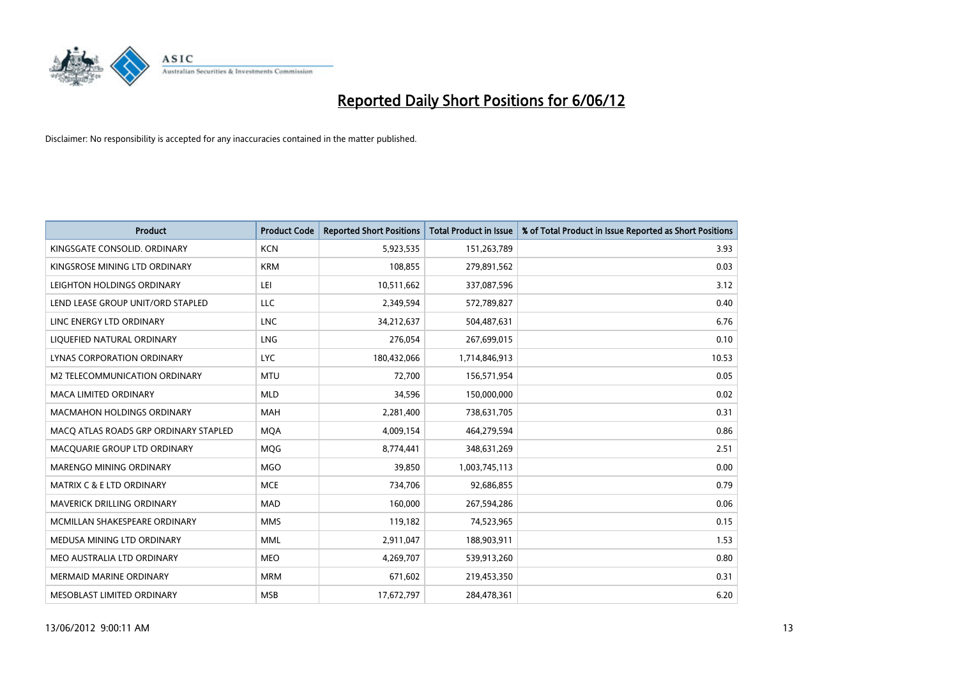

| <b>Product</b>                        | <b>Product Code</b> | <b>Reported Short Positions</b> | <b>Total Product in Issue</b> | % of Total Product in Issue Reported as Short Positions |
|---------------------------------------|---------------------|---------------------------------|-------------------------------|---------------------------------------------------------|
| KINGSGATE CONSOLID, ORDINARY          | <b>KCN</b>          | 5,923,535                       | 151,263,789                   | 3.93                                                    |
| KINGSROSE MINING LTD ORDINARY         | <b>KRM</b>          | 108,855                         | 279,891,562                   | 0.03                                                    |
| LEIGHTON HOLDINGS ORDINARY            | LEI                 | 10,511,662                      | 337,087,596                   | 3.12                                                    |
| LEND LEASE GROUP UNIT/ORD STAPLED     | <b>LLC</b>          | 2,349,594                       | 572,789,827                   | 0.40                                                    |
| LINC ENERGY LTD ORDINARY              | <b>LNC</b>          | 34,212,637                      | 504,487,631                   | 6.76                                                    |
| LIQUEFIED NATURAL ORDINARY            | <b>LNG</b>          | 276,054                         | 267,699,015                   | 0.10                                                    |
| LYNAS CORPORATION ORDINARY            | <b>LYC</b>          | 180,432,066                     | 1,714,846,913                 | 10.53                                                   |
| M2 TELECOMMUNICATION ORDINARY         | <b>MTU</b>          | 72,700                          | 156,571,954                   | 0.05                                                    |
| <b>MACA LIMITED ORDINARY</b>          | <b>MLD</b>          | 34,596                          | 150,000,000                   | 0.02                                                    |
| <b>MACMAHON HOLDINGS ORDINARY</b>     | <b>MAH</b>          | 2,281,400                       | 738,631,705                   | 0.31                                                    |
| MACO ATLAS ROADS GRP ORDINARY STAPLED | <b>MOA</b>          | 4,009,154                       | 464,279,594                   | 0.86                                                    |
| MACQUARIE GROUP LTD ORDINARY          | MQG                 | 8,774,441                       | 348,631,269                   | 2.51                                                    |
| MARENGO MINING ORDINARY               | <b>MGO</b>          | 39,850                          | 1,003,745,113                 | 0.00                                                    |
| <b>MATRIX C &amp; E LTD ORDINARY</b>  | <b>MCE</b>          | 734,706                         | 92,686,855                    | 0.79                                                    |
| MAVERICK DRILLING ORDINARY            | <b>MAD</b>          | 160,000                         | 267,594,286                   | 0.06                                                    |
| MCMILLAN SHAKESPEARE ORDINARY         | <b>MMS</b>          | 119,182                         | 74,523,965                    | 0.15                                                    |
| MEDUSA MINING LTD ORDINARY            | <b>MML</b>          | 2,911,047                       | 188,903,911                   | 1.53                                                    |
| MEO AUSTRALIA LTD ORDINARY            | <b>MEO</b>          | 4,269,707                       | 539,913,260                   | 0.80                                                    |
| <b>MERMAID MARINE ORDINARY</b>        | <b>MRM</b>          | 671,602                         | 219,453,350                   | 0.31                                                    |
| MESOBLAST LIMITED ORDINARY            | <b>MSB</b>          | 17,672,797                      | 284,478,361                   | 6.20                                                    |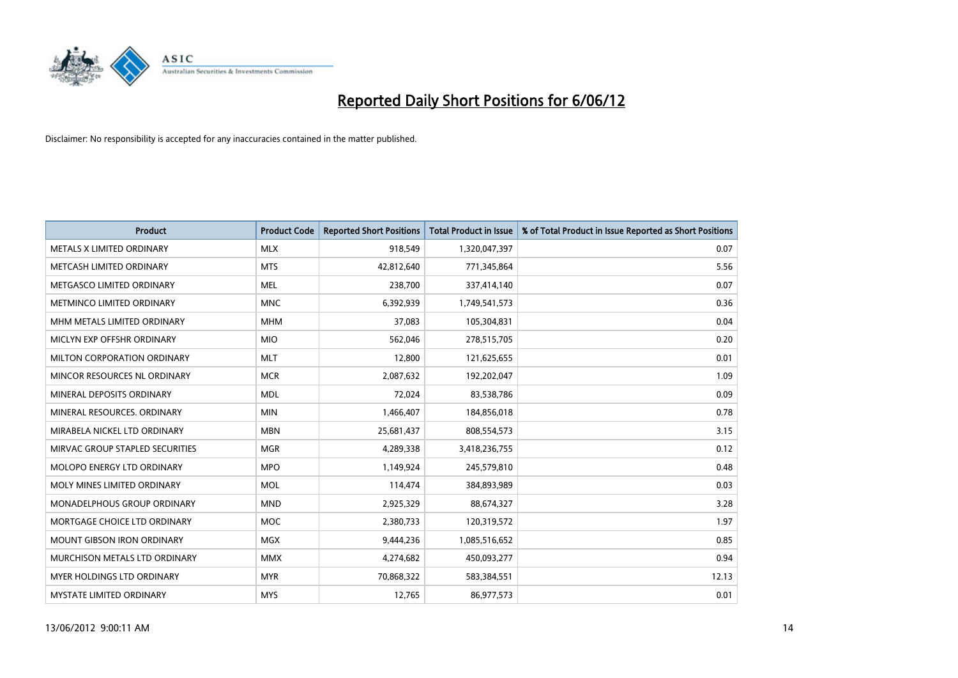

| <b>Product</b>                  | <b>Product Code</b> | <b>Reported Short Positions</b> | <b>Total Product in Issue</b> | % of Total Product in Issue Reported as Short Positions |
|---------------------------------|---------------------|---------------------------------|-------------------------------|---------------------------------------------------------|
| METALS X LIMITED ORDINARY       | <b>MLX</b>          | 918,549                         | 1,320,047,397                 | 0.07                                                    |
| METCASH LIMITED ORDINARY        | <b>MTS</b>          | 42,812,640                      | 771,345,864                   | 5.56                                                    |
| METGASCO LIMITED ORDINARY       | <b>MEL</b>          | 238,700                         | 337,414,140                   | 0.07                                                    |
| METMINCO LIMITED ORDINARY       | <b>MNC</b>          | 6,392,939                       | 1,749,541,573                 | 0.36                                                    |
| MHM METALS LIMITED ORDINARY     | <b>MHM</b>          | 37,083                          | 105,304,831                   | 0.04                                                    |
| MICLYN EXP OFFSHR ORDINARY      | <b>MIO</b>          | 562,046                         | 278,515,705                   | 0.20                                                    |
| MILTON CORPORATION ORDINARY     | <b>MLT</b>          | 12,800                          | 121,625,655                   | 0.01                                                    |
| MINCOR RESOURCES NL ORDINARY    | <b>MCR</b>          | 2,087,632                       | 192,202,047                   | 1.09                                                    |
| MINERAL DEPOSITS ORDINARY       | <b>MDL</b>          | 72,024                          | 83,538,786                    | 0.09                                                    |
| MINERAL RESOURCES, ORDINARY     | <b>MIN</b>          | 1,466,407                       | 184,856,018                   | 0.78                                                    |
| MIRABELA NICKEL LTD ORDINARY    | <b>MBN</b>          | 25,681,437                      | 808,554,573                   | 3.15                                                    |
| MIRVAC GROUP STAPLED SECURITIES | <b>MGR</b>          | 4,289,338                       | 3,418,236,755                 | 0.12                                                    |
| MOLOPO ENERGY LTD ORDINARY      | <b>MPO</b>          | 1,149,924                       | 245,579,810                   | 0.48                                                    |
| MOLY MINES LIMITED ORDINARY     | <b>MOL</b>          | 114,474                         | 384,893,989                   | 0.03                                                    |
| MONADELPHOUS GROUP ORDINARY     | <b>MND</b>          | 2,925,329                       | 88,674,327                    | 3.28                                                    |
| MORTGAGE CHOICE LTD ORDINARY    | <b>MOC</b>          | 2,380,733                       | 120,319,572                   | 1.97                                                    |
| MOUNT GIBSON IRON ORDINARY      | <b>MGX</b>          | 9,444,236                       | 1,085,516,652                 | 0.85                                                    |
| MURCHISON METALS LTD ORDINARY   | <b>MMX</b>          | 4,274,682                       | 450,093,277                   | 0.94                                                    |
| MYER HOLDINGS LTD ORDINARY      | <b>MYR</b>          | 70,868,322                      | 583,384,551                   | 12.13                                                   |
| MYSTATE LIMITED ORDINARY        | <b>MYS</b>          | 12,765                          | 86,977,573                    | 0.01                                                    |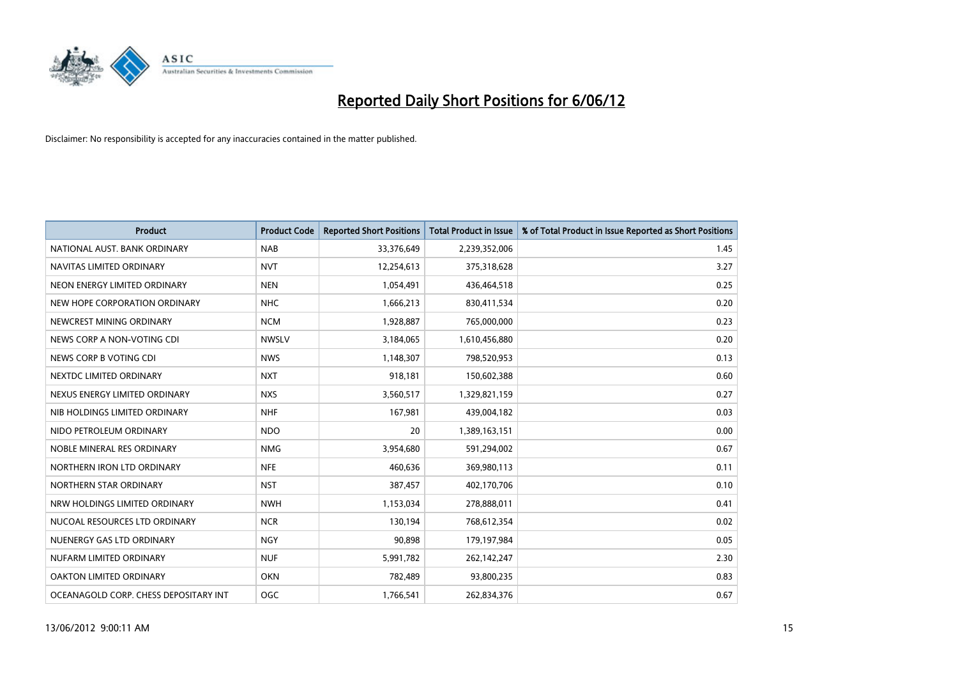

| <b>Product</b>                        | <b>Product Code</b> | <b>Reported Short Positions</b> | <b>Total Product in Issue</b> | % of Total Product in Issue Reported as Short Positions |
|---------------------------------------|---------------------|---------------------------------|-------------------------------|---------------------------------------------------------|
| NATIONAL AUST, BANK ORDINARY          | <b>NAB</b>          | 33,376,649                      | 2,239,352,006                 | 1.45                                                    |
| NAVITAS LIMITED ORDINARY              | <b>NVT</b>          | 12,254,613                      | 375,318,628                   | 3.27                                                    |
| NEON ENERGY LIMITED ORDINARY          | <b>NEN</b>          | 1,054,491                       | 436,464,518                   | 0.25                                                    |
| NEW HOPE CORPORATION ORDINARY         | <b>NHC</b>          | 1,666,213                       | 830,411,534                   | 0.20                                                    |
| NEWCREST MINING ORDINARY              | <b>NCM</b>          | 1,928,887                       | 765,000,000                   | 0.23                                                    |
| NEWS CORP A NON-VOTING CDI            | <b>NWSLV</b>        | 3,184,065                       | 1,610,456,880                 | 0.20                                                    |
| NEWS CORP B VOTING CDI                | <b>NWS</b>          | 1,148,307                       | 798,520,953                   | 0.13                                                    |
| NEXTDC LIMITED ORDINARY               | <b>NXT</b>          | 918,181                         | 150,602,388                   | 0.60                                                    |
| NEXUS ENERGY LIMITED ORDINARY         | <b>NXS</b>          | 3,560,517                       | 1,329,821,159                 | 0.27                                                    |
| NIB HOLDINGS LIMITED ORDINARY         | <b>NHF</b>          | 167,981                         | 439,004,182                   | 0.03                                                    |
| NIDO PETROLEUM ORDINARY               | <b>NDO</b>          | 20                              | 1,389,163,151                 | 0.00                                                    |
| NOBLE MINERAL RES ORDINARY            | <b>NMG</b>          | 3,954,680                       | 591,294,002                   | 0.67                                                    |
| NORTHERN IRON LTD ORDINARY            | <b>NFE</b>          | 460,636                         | 369,980,113                   | 0.11                                                    |
| NORTHERN STAR ORDINARY                | <b>NST</b>          | 387,457                         | 402,170,706                   | 0.10                                                    |
| NRW HOLDINGS LIMITED ORDINARY         | <b>NWH</b>          | 1,153,034                       | 278,888,011                   | 0.41                                                    |
| NUCOAL RESOURCES LTD ORDINARY         | <b>NCR</b>          | 130,194                         | 768,612,354                   | 0.02                                                    |
| NUENERGY GAS LTD ORDINARY             | <b>NGY</b>          | 90,898                          | 179,197,984                   | 0.05                                                    |
| NUFARM LIMITED ORDINARY               | <b>NUF</b>          | 5,991,782                       | 262,142,247                   | 2.30                                                    |
| OAKTON LIMITED ORDINARY               | <b>OKN</b>          | 782,489                         | 93,800,235                    | 0.83                                                    |
| OCEANAGOLD CORP. CHESS DEPOSITARY INT | OGC                 | 1,766,541                       | 262,834,376                   | 0.67                                                    |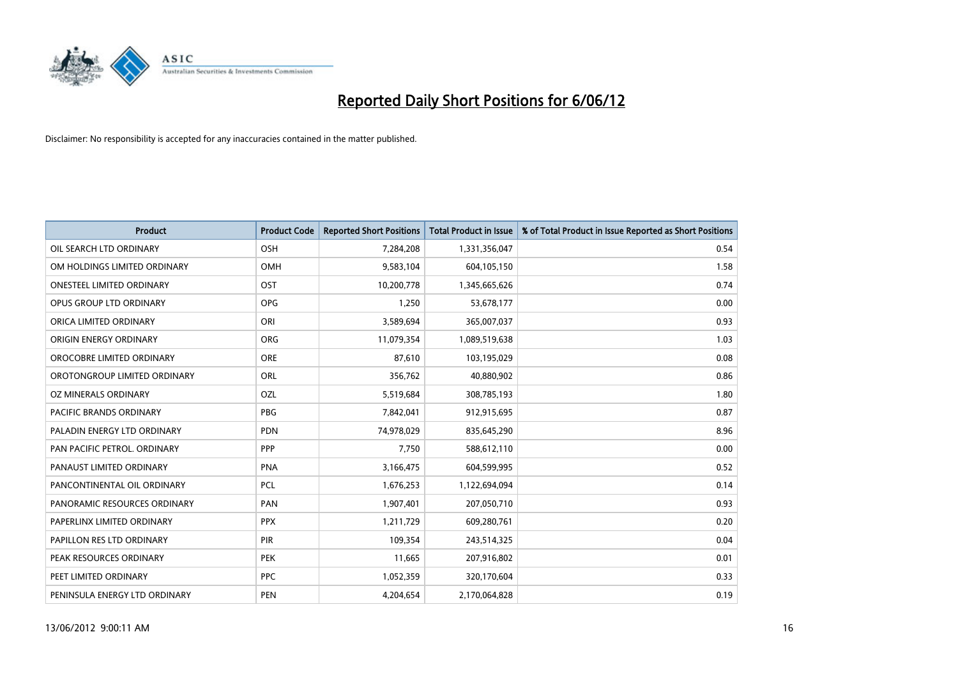

| <b>Product</b>                   | <b>Product Code</b> | <b>Reported Short Positions</b> | <b>Total Product in Issue</b> | % of Total Product in Issue Reported as Short Positions |
|----------------------------------|---------------------|---------------------------------|-------------------------------|---------------------------------------------------------|
| OIL SEARCH LTD ORDINARY          | OSH                 | 7,284,208                       | 1,331,356,047                 | 0.54                                                    |
| OM HOLDINGS LIMITED ORDINARY     | OMH                 | 9,583,104                       | 604,105,150                   | 1.58                                                    |
| <b>ONESTEEL LIMITED ORDINARY</b> | OST                 | 10,200,778                      | 1,345,665,626                 | 0.74                                                    |
| OPUS GROUP LTD ORDINARY          | <b>OPG</b>          | 1,250                           | 53,678,177                    | 0.00                                                    |
| ORICA LIMITED ORDINARY           | ORI                 | 3,589,694                       | 365,007,037                   | 0.93                                                    |
| ORIGIN ENERGY ORDINARY           | ORG                 | 11,079,354                      | 1,089,519,638                 | 1.03                                                    |
| OROCOBRE LIMITED ORDINARY        | <b>ORE</b>          | 87,610                          | 103,195,029                   | 0.08                                                    |
| OROTONGROUP LIMITED ORDINARY     | ORL                 | 356,762                         | 40,880,902                    | 0.86                                                    |
| OZ MINERALS ORDINARY             | OZL                 | 5,519,684                       | 308,785,193                   | 1.80                                                    |
| <b>PACIFIC BRANDS ORDINARY</b>   | <b>PBG</b>          | 7,842,041                       | 912,915,695                   | 0.87                                                    |
| PALADIN ENERGY LTD ORDINARY      | <b>PDN</b>          | 74,978,029                      | 835,645,290                   | 8.96                                                    |
| PAN PACIFIC PETROL. ORDINARY     | <b>PPP</b>          | 7,750                           | 588,612,110                   | 0.00                                                    |
| PANAUST LIMITED ORDINARY         | <b>PNA</b>          | 3,166,475                       | 604,599,995                   | 0.52                                                    |
| PANCONTINENTAL OIL ORDINARY      | <b>PCL</b>          | 1,676,253                       | 1,122,694,094                 | 0.14                                                    |
| PANORAMIC RESOURCES ORDINARY     | PAN                 | 1,907,401                       | 207,050,710                   | 0.93                                                    |
| PAPERLINX LIMITED ORDINARY       | <b>PPX</b>          | 1,211,729                       | 609,280,761                   | 0.20                                                    |
| PAPILLON RES LTD ORDINARY        | <b>PIR</b>          | 109,354                         | 243,514,325                   | 0.04                                                    |
| PEAK RESOURCES ORDINARY          | <b>PEK</b>          | 11,665                          | 207,916,802                   | 0.01                                                    |
| PEET LIMITED ORDINARY            | <b>PPC</b>          | 1,052,359                       | 320,170,604                   | 0.33                                                    |
| PENINSULA ENERGY LTD ORDINARY    | <b>PEN</b>          | 4,204,654                       | 2,170,064,828                 | 0.19                                                    |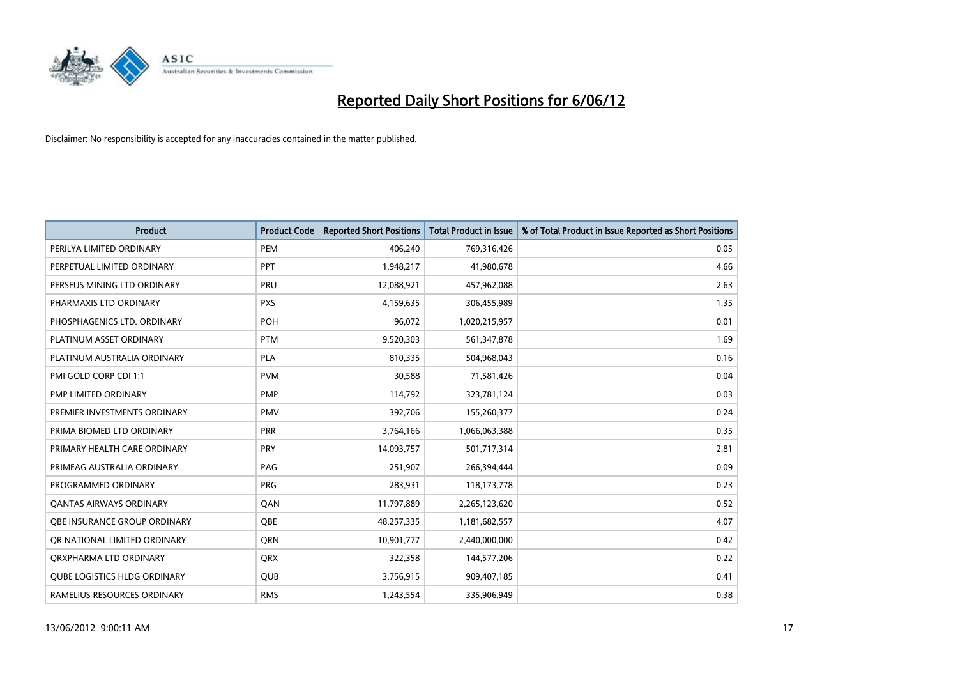

| <b>Product</b>                      | <b>Product Code</b> | <b>Reported Short Positions</b> | <b>Total Product in Issue</b> | % of Total Product in Issue Reported as Short Positions |
|-------------------------------------|---------------------|---------------------------------|-------------------------------|---------------------------------------------------------|
| PERILYA LIMITED ORDINARY            | PEM                 | 406,240                         | 769,316,426                   | 0.05                                                    |
| PERPETUAL LIMITED ORDINARY          | <b>PPT</b>          | 1,948,217                       | 41,980,678                    | 4.66                                                    |
| PERSEUS MINING LTD ORDINARY         | <b>PRU</b>          | 12,088,921                      | 457,962,088                   | 2.63                                                    |
| PHARMAXIS LTD ORDINARY              | <b>PXS</b>          | 4,159,635                       | 306,455,989                   | 1.35                                                    |
| PHOSPHAGENICS LTD. ORDINARY         | <b>POH</b>          | 96,072                          | 1,020,215,957                 | 0.01                                                    |
| PLATINUM ASSET ORDINARY             | <b>PTM</b>          | 9,520,303                       | 561,347,878                   | 1.69                                                    |
| PLATINUM AUSTRALIA ORDINARY         | <b>PLA</b>          | 810,335                         | 504,968,043                   | 0.16                                                    |
| PMI GOLD CORP CDI 1:1               | <b>PVM</b>          | 30,588                          | 71,581,426                    | 0.04                                                    |
| PMP LIMITED ORDINARY                | <b>PMP</b>          | 114,792                         | 323,781,124                   | 0.03                                                    |
| PREMIER INVESTMENTS ORDINARY        | <b>PMV</b>          | 392,706                         | 155,260,377                   | 0.24                                                    |
| PRIMA BIOMED LTD ORDINARY           | <b>PRR</b>          | 3,764,166                       | 1,066,063,388                 | 0.35                                                    |
| PRIMARY HEALTH CARE ORDINARY        | <b>PRY</b>          | 14,093,757                      | 501,717,314                   | 2.81                                                    |
| PRIMEAG AUSTRALIA ORDINARY          | PAG                 | 251,907                         | 266,394,444                   | 0.09                                                    |
| PROGRAMMED ORDINARY                 | <b>PRG</b>          | 283,931                         | 118,173,778                   | 0.23                                                    |
| <b>QANTAS AIRWAYS ORDINARY</b>      | QAN                 | 11,797,889                      | 2,265,123,620                 | 0.52                                                    |
| OBE INSURANCE GROUP ORDINARY        | <b>OBE</b>          | 48,257,335                      | 1,181,682,557                 | 4.07                                                    |
| OR NATIONAL LIMITED ORDINARY        | <b>ORN</b>          | 10,901,777                      | 2,440,000,000                 | 0.42                                                    |
| ORXPHARMA LTD ORDINARY              | QRX                 | 322,358                         | 144,577,206                   | 0.22                                                    |
| <b>QUBE LOGISTICS HLDG ORDINARY</b> | <b>QUB</b>          | 3,756,915                       | 909,407,185                   | 0.41                                                    |
| RAMELIUS RESOURCES ORDINARY         | <b>RMS</b>          | 1,243,554                       | 335,906,949                   | 0.38                                                    |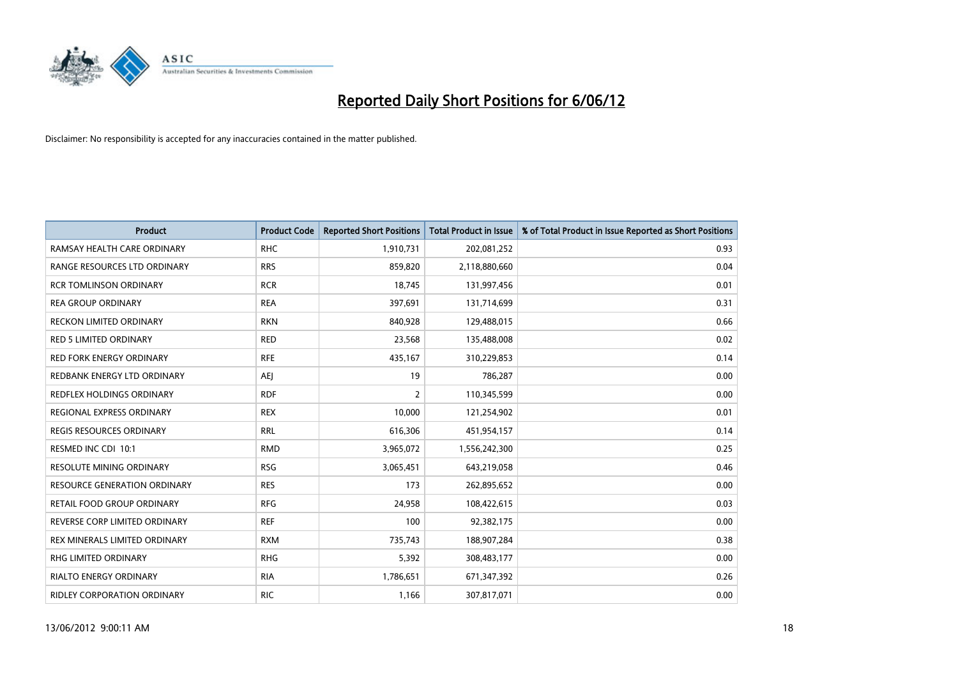

| <b>Product</b>                      | <b>Product Code</b> | <b>Reported Short Positions</b> | <b>Total Product in Issue</b> | % of Total Product in Issue Reported as Short Positions |
|-------------------------------------|---------------------|---------------------------------|-------------------------------|---------------------------------------------------------|
| RAMSAY HEALTH CARE ORDINARY         | <b>RHC</b>          | 1,910,731                       | 202,081,252                   | 0.93                                                    |
| RANGE RESOURCES LTD ORDINARY        | <b>RRS</b>          | 859,820                         | 2,118,880,660                 | 0.04                                                    |
| <b>RCR TOMLINSON ORDINARY</b>       | <b>RCR</b>          | 18,745                          | 131,997,456                   | 0.01                                                    |
| <b>REA GROUP ORDINARY</b>           | <b>REA</b>          | 397,691                         | 131,714,699                   | 0.31                                                    |
| <b>RECKON LIMITED ORDINARY</b>      | <b>RKN</b>          | 840,928                         | 129,488,015                   | 0.66                                                    |
| <b>RED 5 LIMITED ORDINARY</b>       | <b>RED</b>          | 23,568                          | 135,488,008                   | 0.02                                                    |
| <b>RED FORK ENERGY ORDINARY</b>     | <b>RFE</b>          | 435,167                         | 310,229,853                   | 0.14                                                    |
| REDBANK ENERGY LTD ORDINARY         | <b>AEJ</b>          | 19                              | 786,287                       | 0.00                                                    |
| <b>REDFLEX HOLDINGS ORDINARY</b>    | <b>RDF</b>          | $\overline{2}$                  | 110,345,599                   | 0.00                                                    |
| REGIONAL EXPRESS ORDINARY           | <b>REX</b>          | 10,000                          | 121,254,902                   | 0.01                                                    |
| <b>REGIS RESOURCES ORDINARY</b>     | <b>RRL</b>          | 616,306                         | 451,954,157                   | 0.14                                                    |
| RESMED INC CDI 10:1                 | <b>RMD</b>          | 3,965,072                       | 1,556,242,300                 | 0.25                                                    |
| RESOLUTE MINING ORDINARY            | <b>RSG</b>          | 3,065,451                       | 643,219,058                   | 0.46                                                    |
| <b>RESOURCE GENERATION ORDINARY</b> | <b>RES</b>          | 173                             | 262,895,652                   | 0.00                                                    |
| <b>RETAIL FOOD GROUP ORDINARY</b>   | <b>RFG</b>          | 24,958                          | 108,422,615                   | 0.03                                                    |
| REVERSE CORP LIMITED ORDINARY       | <b>REF</b>          | 100                             | 92,382,175                    | 0.00                                                    |
| REX MINERALS LIMITED ORDINARY       | <b>RXM</b>          | 735,743                         | 188,907,284                   | 0.38                                                    |
| RHG LIMITED ORDINARY                | <b>RHG</b>          | 5,392                           | 308,483,177                   | 0.00                                                    |
| <b>RIALTO ENERGY ORDINARY</b>       | <b>RIA</b>          | 1,786,651                       | 671,347,392                   | 0.26                                                    |
| <b>RIDLEY CORPORATION ORDINARY</b>  | <b>RIC</b>          | 1,166                           | 307,817,071                   | 0.00                                                    |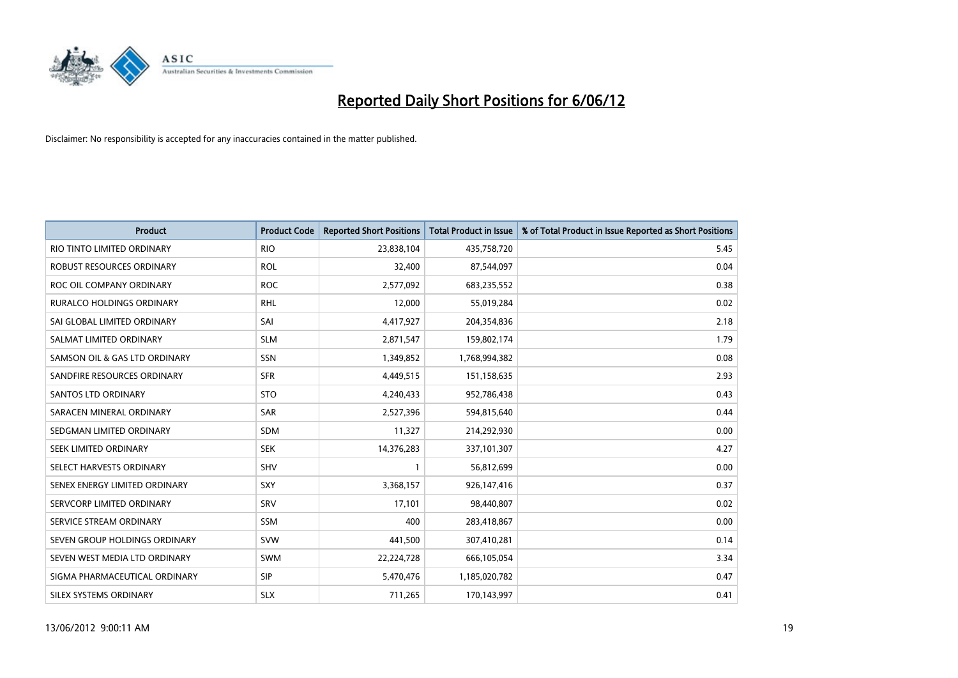

| <b>Product</b>                   | <b>Product Code</b> | <b>Reported Short Positions</b> | <b>Total Product in Issue</b> | % of Total Product in Issue Reported as Short Positions |
|----------------------------------|---------------------|---------------------------------|-------------------------------|---------------------------------------------------------|
| RIO TINTO LIMITED ORDINARY       | <b>RIO</b>          | 23,838,104                      | 435,758,720                   | 5.45                                                    |
| ROBUST RESOURCES ORDINARY        | <b>ROL</b>          | 32,400                          | 87,544,097                    | 0.04                                                    |
| ROC OIL COMPANY ORDINARY         | <b>ROC</b>          | 2,577,092                       | 683,235,552                   | 0.38                                                    |
| <b>RURALCO HOLDINGS ORDINARY</b> | <b>RHL</b>          | 12,000                          | 55,019,284                    | 0.02                                                    |
| SAI GLOBAL LIMITED ORDINARY      | SAI                 | 4,417,927                       | 204,354,836                   | 2.18                                                    |
| SALMAT LIMITED ORDINARY          | <b>SLM</b>          | 2,871,547                       | 159,802,174                   | 1.79                                                    |
| SAMSON OIL & GAS LTD ORDINARY    | SSN                 | 1,349,852                       | 1,768,994,382                 | 0.08                                                    |
| SANDFIRE RESOURCES ORDINARY      | <b>SFR</b>          | 4,449,515                       | 151,158,635                   | 2.93                                                    |
| SANTOS LTD ORDINARY              | <b>STO</b>          | 4,240,433                       | 952,786,438                   | 0.43                                                    |
| SARACEN MINERAL ORDINARY         | SAR                 | 2,527,396                       | 594,815,640                   | 0.44                                                    |
| SEDGMAN LIMITED ORDINARY         | <b>SDM</b>          | 11,327                          | 214,292,930                   | 0.00                                                    |
| SEEK LIMITED ORDINARY            | <b>SEK</b>          | 14,376,283                      | 337,101,307                   | 4.27                                                    |
| SELECT HARVESTS ORDINARY         | <b>SHV</b>          | $\mathbf{1}$                    | 56,812,699                    | 0.00                                                    |
| SENEX ENERGY LIMITED ORDINARY    | <b>SXY</b>          | 3,368,157                       | 926,147,416                   | 0.37                                                    |
| SERVCORP LIMITED ORDINARY        | SRV                 | 17,101                          | 98,440,807                    | 0.02                                                    |
| SERVICE STREAM ORDINARY          | SSM                 | 400                             | 283,418,867                   | 0.00                                                    |
| SEVEN GROUP HOLDINGS ORDINARY    | <b>SVW</b>          | 441,500                         | 307,410,281                   | 0.14                                                    |
| SEVEN WEST MEDIA LTD ORDINARY    | <b>SWM</b>          | 22,224,728                      | 666,105,054                   | 3.34                                                    |
| SIGMA PHARMACEUTICAL ORDINARY    | <b>SIP</b>          | 5,470,476                       | 1,185,020,782                 | 0.47                                                    |
| SILEX SYSTEMS ORDINARY           | <b>SLX</b>          | 711,265                         | 170,143,997                   | 0.41                                                    |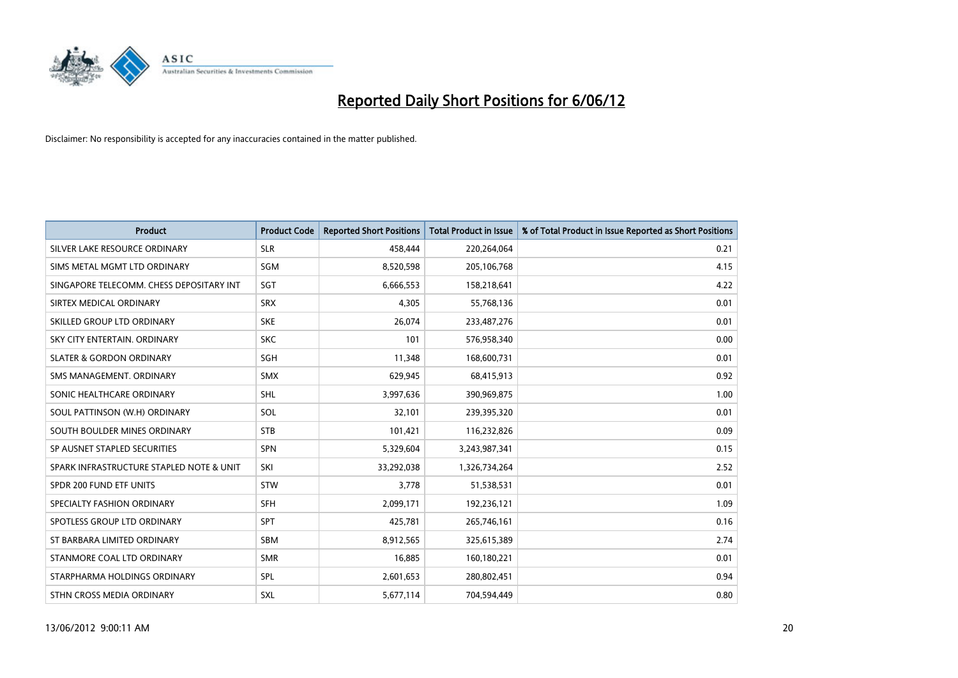

| <b>Product</b>                           | <b>Product Code</b> | <b>Reported Short Positions</b> | <b>Total Product in Issue</b> | % of Total Product in Issue Reported as Short Positions |
|------------------------------------------|---------------------|---------------------------------|-------------------------------|---------------------------------------------------------|
| SILVER LAKE RESOURCE ORDINARY            | <b>SLR</b>          | 458,444                         | 220,264,064                   | 0.21                                                    |
| SIMS METAL MGMT LTD ORDINARY             | <b>SGM</b>          | 8,520,598                       | 205,106,768                   | 4.15                                                    |
| SINGAPORE TELECOMM. CHESS DEPOSITARY INT | SGT                 | 6,666,553                       | 158,218,641                   | 4.22                                                    |
| SIRTEX MEDICAL ORDINARY                  | <b>SRX</b>          | 4,305                           | 55,768,136                    | 0.01                                                    |
| SKILLED GROUP LTD ORDINARY               | <b>SKE</b>          | 26,074                          | 233,487,276                   | 0.01                                                    |
| SKY CITY ENTERTAIN, ORDINARY             | <b>SKC</b>          | 101                             | 576,958,340                   | 0.00                                                    |
| <b>SLATER &amp; GORDON ORDINARY</b>      | <b>SGH</b>          | 11,348                          | 168,600,731                   | 0.01                                                    |
| SMS MANAGEMENT, ORDINARY                 | <b>SMX</b>          | 629,945                         | 68,415,913                    | 0.92                                                    |
| SONIC HEALTHCARE ORDINARY                | <b>SHL</b>          | 3,997,636                       | 390,969,875                   | 1.00                                                    |
| SOUL PATTINSON (W.H) ORDINARY            | SOL                 | 32,101                          | 239,395,320                   | 0.01                                                    |
| SOUTH BOULDER MINES ORDINARY             | <b>STB</b>          | 101,421                         | 116,232,826                   | 0.09                                                    |
| SP AUSNET STAPLED SECURITIES             | <b>SPN</b>          | 5,329,604                       | 3,243,987,341                 | 0.15                                                    |
| SPARK INFRASTRUCTURE STAPLED NOTE & UNIT | SKI                 | 33,292,038                      | 1,326,734,264                 | 2.52                                                    |
| SPDR 200 FUND ETF UNITS                  | STW                 | 3,778                           | 51,538,531                    | 0.01                                                    |
| SPECIALTY FASHION ORDINARY               | <b>SFH</b>          | 2,099,171                       | 192,236,121                   | 1.09                                                    |
| SPOTLESS GROUP LTD ORDINARY              | <b>SPT</b>          | 425,781                         | 265,746,161                   | 0.16                                                    |
| ST BARBARA LIMITED ORDINARY              | SBM                 | 8,912,565                       | 325,615,389                   | 2.74                                                    |
| STANMORE COAL LTD ORDINARY               | <b>SMR</b>          | 16,885                          | 160,180,221                   | 0.01                                                    |
| STARPHARMA HOLDINGS ORDINARY             | <b>SPL</b>          | 2,601,653                       | 280,802,451                   | 0.94                                                    |
| STHN CROSS MEDIA ORDINARY                | SXL                 | 5,677,114                       | 704,594,449                   | 0.80                                                    |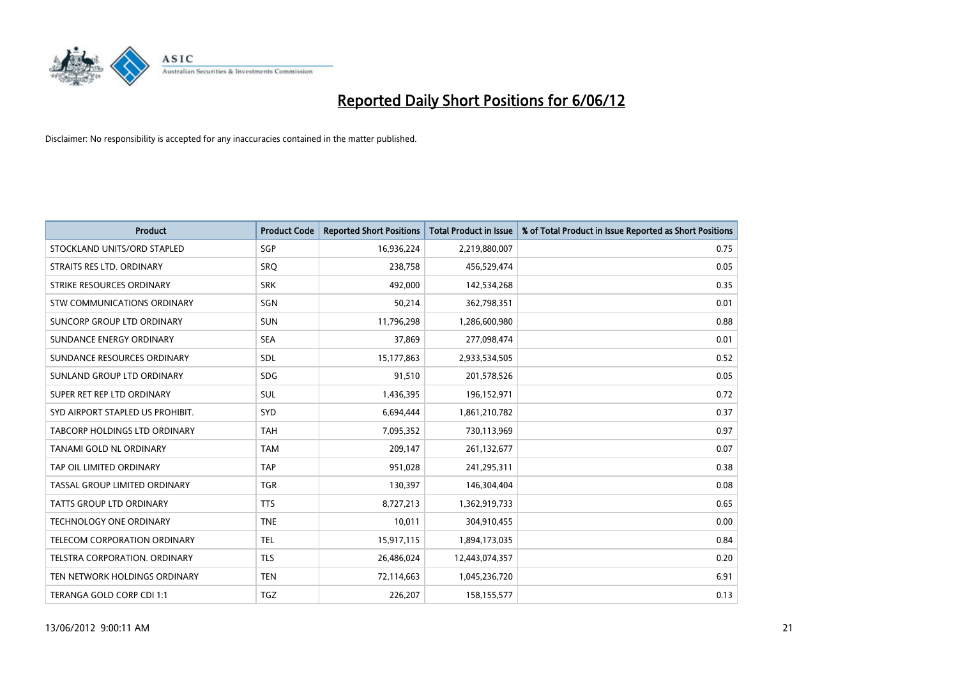

| <b>Product</b>                   | <b>Product Code</b> | <b>Reported Short Positions</b> | <b>Total Product in Issue</b> | % of Total Product in Issue Reported as Short Positions |
|----------------------------------|---------------------|---------------------------------|-------------------------------|---------------------------------------------------------|
| STOCKLAND UNITS/ORD STAPLED      | SGP                 | 16,936,224                      | 2,219,880,007                 | 0.75                                                    |
| STRAITS RES LTD. ORDINARY        | <b>SRQ</b>          | 238,758                         | 456,529,474                   | 0.05                                                    |
| STRIKE RESOURCES ORDINARY        | <b>SRK</b>          | 492,000                         | 142,534,268                   | 0.35                                                    |
| STW COMMUNICATIONS ORDINARY      | SGN                 | 50,214                          | 362,798,351                   | 0.01                                                    |
| SUNCORP GROUP LTD ORDINARY       | <b>SUN</b>          | 11,796,298                      | 1,286,600,980                 | 0.88                                                    |
| SUNDANCE ENERGY ORDINARY         | <b>SEA</b>          | 37,869                          | 277,098,474                   | 0.01                                                    |
| SUNDANCE RESOURCES ORDINARY      | <b>SDL</b>          | 15,177,863                      | 2,933,534,505                 | 0.52                                                    |
| SUNLAND GROUP LTD ORDINARY       | <b>SDG</b>          | 91,510                          | 201,578,526                   | 0.05                                                    |
| SUPER RET REP LTD ORDINARY       | <b>SUL</b>          | 1,436,395                       | 196,152,971                   | 0.72                                                    |
| SYD AIRPORT STAPLED US PROHIBIT. | SYD                 | 6,694,444                       | 1,861,210,782                 | 0.37                                                    |
| TABCORP HOLDINGS LTD ORDINARY    | <b>TAH</b>          | 7,095,352                       | 730,113,969                   | 0.97                                                    |
| TANAMI GOLD NL ORDINARY          | <b>TAM</b>          | 209,147                         | 261,132,677                   | 0.07                                                    |
| TAP OIL LIMITED ORDINARY         | <b>TAP</b>          | 951,028                         | 241,295,311                   | 0.38                                                    |
| TASSAL GROUP LIMITED ORDINARY    | <b>TGR</b>          | 130,397                         | 146,304,404                   | 0.08                                                    |
| <b>TATTS GROUP LTD ORDINARY</b>  | <b>TTS</b>          | 8,727,213                       | 1,362,919,733                 | 0.65                                                    |
| <b>TECHNOLOGY ONE ORDINARY</b>   | <b>TNE</b>          | 10,011                          | 304,910,455                   | 0.00                                                    |
| TELECOM CORPORATION ORDINARY     | <b>TEL</b>          | 15,917,115                      | 1,894,173,035                 | 0.84                                                    |
| TELSTRA CORPORATION. ORDINARY    | <b>TLS</b>          | 26,486,024                      | 12,443,074,357                | 0.20                                                    |
| TEN NETWORK HOLDINGS ORDINARY    | <b>TEN</b>          | 72,114,663                      | 1,045,236,720                 | 6.91                                                    |
| TERANGA GOLD CORP CDI 1:1        | TGZ                 | 226,207                         | 158,155,577                   | 0.13                                                    |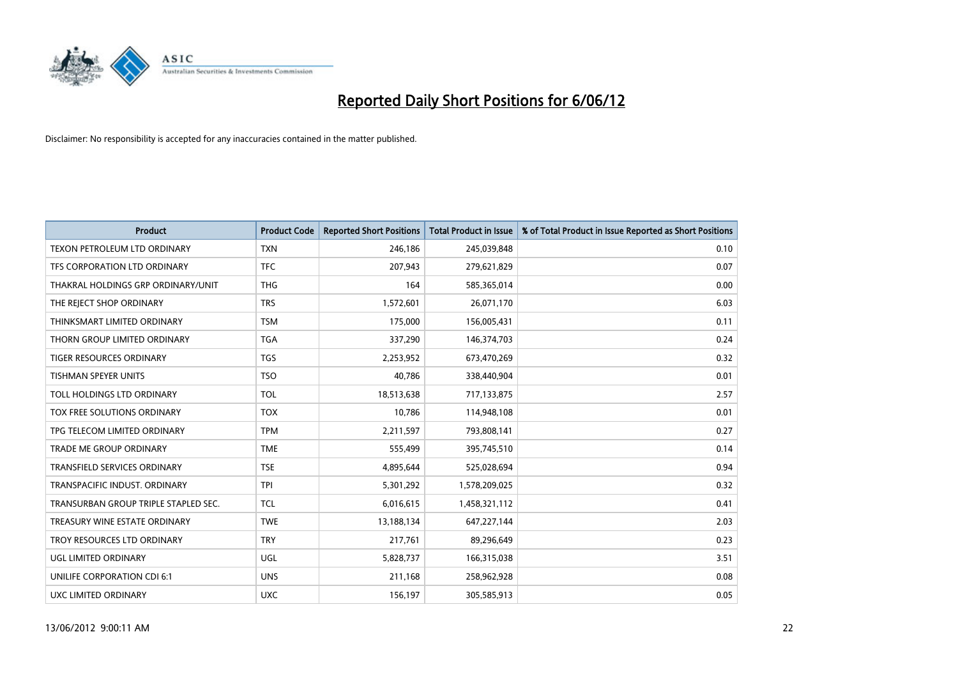

| <b>Product</b>                       | <b>Product Code</b> | <b>Reported Short Positions</b> | <b>Total Product in Issue</b> | % of Total Product in Issue Reported as Short Positions |
|--------------------------------------|---------------------|---------------------------------|-------------------------------|---------------------------------------------------------|
| TEXON PETROLEUM LTD ORDINARY         | <b>TXN</b>          | 246,186                         | 245,039,848                   | 0.10                                                    |
| TFS CORPORATION LTD ORDINARY         | <b>TFC</b>          | 207,943                         | 279,621,829                   | 0.07                                                    |
| THAKRAL HOLDINGS GRP ORDINARY/UNIT   | <b>THG</b>          | 164                             | 585,365,014                   | 0.00                                                    |
| THE REJECT SHOP ORDINARY             | <b>TRS</b>          | 1,572,601                       | 26,071,170                    | 6.03                                                    |
| THINKSMART LIMITED ORDINARY          | <b>TSM</b>          | 175,000                         | 156,005,431                   | 0.11                                                    |
| THORN GROUP LIMITED ORDINARY         | <b>TGA</b>          | 337,290                         | 146,374,703                   | 0.24                                                    |
| TIGER RESOURCES ORDINARY             | <b>TGS</b>          | 2,253,952                       | 673,470,269                   | 0.32                                                    |
| <b>TISHMAN SPEYER UNITS</b>          | <b>TSO</b>          | 40,786                          | 338,440,904                   | 0.01                                                    |
| TOLL HOLDINGS LTD ORDINARY           | <b>TOL</b>          | 18,513,638                      | 717,133,875                   | 2.57                                                    |
| TOX FREE SOLUTIONS ORDINARY          | <b>TOX</b>          | 10,786                          | 114,948,108                   | 0.01                                                    |
| TPG TELECOM LIMITED ORDINARY         | <b>TPM</b>          | 2,211,597                       | 793,808,141                   | 0.27                                                    |
| <b>TRADE ME GROUP ORDINARY</b>       | <b>TME</b>          | 555,499                         | 395,745,510                   | 0.14                                                    |
| TRANSFIELD SERVICES ORDINARY         | <b>TSE</b>          | 4,895,644                       | 525,028,694                   | 0.94                                                    |
| TRANSPACIFIC INDUST, ORDINARY        | <b>TPI</b>          | 5,301,292                       | 1,578,209,025                 | 0.32                                                    |
| TRANSURBAN GROUP TRIPLE STAPLED SEC. | <b>TCL</b>          | 6,016,615                       | 1,458,321,112                 | 0.41                                                    |
| TREASURY WINE ESTATE ORDINARY        | <b>TWE</b>          | 13,188,134                      | 647,227,144                   | 2.03                                                    |
| TROY RESOURCES LTD ORDINARY          | <b>TRY</b>          | 217,761                         | 89,296,649                    | 0.23                                                    |
| UGL LIMITED ORDINARY                 | UGL                 | 5,828,737                       | 166,315,038                   | 3.51                                                    |
| UNILIFE CORPORATION CDI 6:1          | <b>UNS</b>          | 211,168                         | 258,962,928                   | 0.08                                                    |
| UXC LIMITED ORDINARY                 | <b>UXC</b>          | 156,197                         | 305,585,913                   | 0.05                                                    |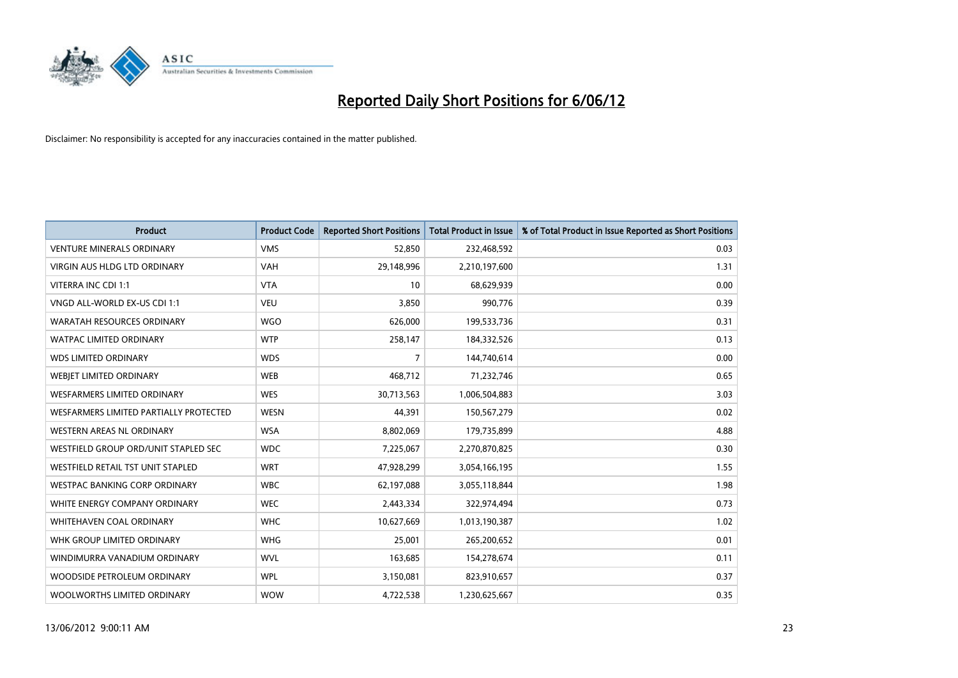

| <b>Product</b>                         | <b>Product Code</b> | <b>Reported Short Positions</b> | <b>Total Product in Issue</b> | % of Total Product in Issue Reported as Short Positions |
|----------------------------------------|---------------------|---------------------------------|-------------------------------|---------------------------------------------------------|
| <b>VENTURE MINERALS ORDINARY</b>       | <b>VMS</b>          | 52,850                          | 232,468,592                   | 0.03                                                    |
| <b>VIRGIN AUS HLDG LTD ORDINARY</b>    | <b>VAH</b>          | 29,148,996                      | 2,210,197,600                 | 1.31                                                    |
| VITERRA INC CDI 1:1                    | <b>VTA</b>          | 10                              | 68,629,939                    | 0.00                                                    |
| VNGD ALL-WORLD EX-US CDI 1:1           | <b>VEU</b>          | 3,850                           | 990,776                       | 0.39                                                    |
| <b>WARATAH RESOURCES ORDINARY</b>      | <b>WGO</b>          | 626,000                         | 199,533,736                   | 0.31                                                    |
| <b>WATPAC LIMITED ORDINARY</b>         | <b>WTP</b>          | 258,147                         | 184,332,526                   | 0.13                                                    |
| <b>WDS LIMITED ORDINARY</b>            | <b>WDS</b>          | 7                               | 144,740,614                   | 0.00                                                    |
| WEBJET LIMITED ORDINARY                | <b>WEB</b>          | 468,712                         | 71,232,746                    | 0.65                                                    |
| WESFARMERS LIMITED ORDINARY            | <b>WES</b>          | 30,713,563                      | 1,006,504,883                 | 3.03                                                    |
| WESFARMERS LIMITED PARTIALLY PROTECTED | <b>WESN</b>         | 44,391                          | 150,567,279                   | 0.02                                                    |
| WESTERN AREAS NL ORDINARY              | <b>WSA</b>          | 8,802,069                       | 179,735,899                   | 4.88                                                    |
| WESTFIELD GROUP ORD/UNIT STAPLED SEC   | <b>WDC</b>          | 7,225,067                       | 2,270,870,825                 | 0.30                                                    |
| WESTFIELD RETAIL TST UNIT STAPLED      | <b>WRT</b>          | 47,928,299                      | 3,054,166,195                 | 1.55                                                    |
| <b>WESTPAC BANKING CORP ORDINARY</b>   | <b>WBC</b>          | 62,197,088                      | 3,055,118,844                 | 1.98                                                    |
| WHITE ENERGY COMPANY ORDINARY          | <b>WEC</b>          | 2,443,334                       | 322,974,494                   | 0.73                                                    |
| <b>WHITEHAVEN COAL ORDINARY</b>        | <b>WHC</b>          | 10,627,669                      | 1,013,190,387                 | 1.02                                                    |
| WHK GROUP LIMITED ORDINARY             | <b>WHG</b>          | 25,001                          | 265,200,652                   | 0.01                                                    |
| WINDIMURRA VANADIUM ORDINARY           | <b>WVL</b>          | 163,685                         | 154,278,674                   | 0.11                                                    |
| WOODSIDE PETROLEUM ORDINARY            | <b>WPL</b>          | 3,150,081                       | 823,910,657                   | 0.37                                                    |
| WOOLWORTHS LIMITED ORDINARY            | <b>WOW</b>          | 4,722,538                       | 1,230,625,667                 | 0.35                                                    |